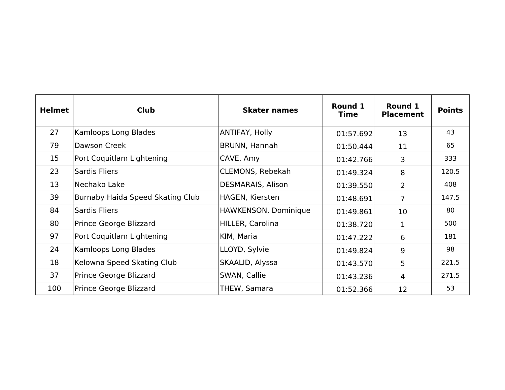| <b>Helmet</b> | <b>Club</b>                      | <b>Skater names</b>     | Round 1<br>Time | Round 1<br><b>Placement</b> | <b>Points</b> |
|---------------|----------------------------------|-------------------------|-----------------|-----------------------------|---------------|
| 27            | Kamloops Long Blades             | ANTIFAY, Holly          | 01:57.692       | 13                          | 43            |
| 79            | Dawson Creek                     | BRUNN, Hannah           | 01:50.444       | 11                          | 65            |
| 15            | Port Coquitlam Lightening        | CAVE, Amy               | 01:42.766       | 3                           | 333           |
| 23            | <b>Sardis Fliers</b>             | <b>CLEMONS, Rebekah</b> | 01:49.324       | 8                           | 120.5         |
| 13            | Nechako Lake                     | DESMARAIS, Alison       | 01:39.550       | $\overline{2}$              | 408           |
| 39            | Burnaby Haida Speed Skating Club | HAGEN, Kiersten         | 01:48.691       | $\overline{7}$              | 147.5         |
| 84            | Sardis Fliers                    | HAWKENSON, Dominique    | 01:49.861       | 10                          | 80            |
| 80            | Prince George Blizzard           | HILLER, Carolina        | 01:38.720       | $\mathbf 1$                 | 500           |
| 97            | Port Coquitlam Lightening        | KIM, Maria              | 01:47.222       | 6                           | 181           |
| 24            | Kamloops Long Blades             | LLOYD, Sylvie           | 01:49.824       | 9                           | 98            |
| 18            | Kelowna Speed Skating Club       | SKAALID, Alyssa         | 01:43.570       | 5                           | 221.5         |
| 37            | Prince George Blizzard           | SWAN, Callie            | 01:43.236       | $\overline{4}$              | 271.5         |
| 100           | Prince George Blizzard           | THEW, Samara            | 01:52.366       | 12                          | 53            |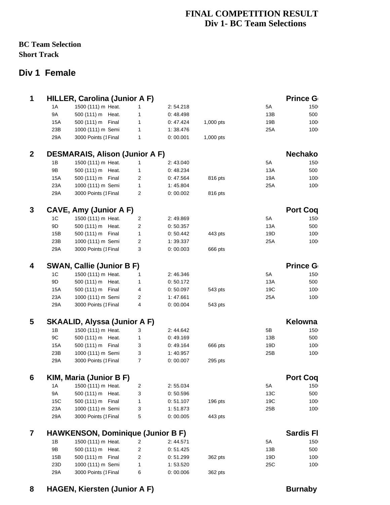### **FINAL COMPETITION RESULT Div 1- BC Team Selections**

#### **BC Team Selection Short Track**

## **Div 1 Female**

| 1A        | 1500 (111) m Heat.                                                                                             | $\mathbf{1}$                                                                                                                                                                                                                                                                                                                                                            | 2:54.218                                                                                                                                                                                                                                                                                                                                 |                                                                                                                                                                                                                                                                                                                          | 5A                                                  | 150                                                                                         |                                                                                                                                                                                                                      |
|-----------|----------------------------------------------------------------------------------------------------------------|-------------------------------------------------------------------------------------------------------------------------------------------------------------------------------------------------------------------------------------------------------------------------------------------------------------------------------------------------------------------------|------------------------------------------------------------------------------------------------------------------------------------------------------------------------------------------------------------------------------------------------------------------------------------------------------------------------------------------|--------------------------------------------------------------------------------------------------------------------------------------------------------------------------------------------------------------------------------------------------------------------------------------------------------------------------|-----------------------------------------------------|---------------------------------------------------------------------------------------------|----------------------------------------------------------------------------------------------------------------------------------------------------------------------------------------------------------------------|
| <b>9A</b> | 500 (111) m Heat.                                                                                              | $\mathbf{1}$                                                                                                                                                                                                                                                                                                                                                            | 0:48.498                                                                                                                                                                                                                                                                                                                                 |                                                                                                                                                                                                                                                                                                                          | 13B                                                 | 500                                                                                         |                                                                                                                                                                                                                      |
| 15A       | 500 (111) m Final                                                                                              | $\mathbf{1}$                                                                                                                                                                                                                                                                                                                                                            | 0:47.424                                                                                                                                                                                                                                                                                                                                 | 1,000 pts                                                                                                                                                                                                                                                                                                                | 19B                                                 | 100                                                                                         |                                                                                                                                                                                                                      |
| 23B       | 1000 (111) m Semi                                                                                              | $\mathbf{1}$                                                                                                                                                                                                                                                                                                                                                            | 1:38.476                                                                                                                                                                                                                                                                                                                                 |                                                                                                                                                                                                                                                                                                                          | 25A                                                 | 100                                                                                         |                                                                                                                                                                                                                      |
| 29A       | 3000 Points (1 Final                                                                                           | $\mathbf{1}$                                                                                                                                                                                                                                                                                                                                                            | 0:00.001                                                                                                                                                                                                                                                                                                                                 | 1,000 pts                                                                                                                                                                                                                                                                                                                |                                                     |                                                                                             |                                                                                                                                                                                                                      |
|           |                                                                                                                |                                                                                                                                                                                                                                                                                                                                                                         |                                                                                                                                                                                                                                                                                                                                          |                                                                                                                                                                                                                                                                                                                          |                                                     |                                                                                             |                                                                                                                                                                                                                      |
|           |                                                                                                                |                                                                                                                                                                                                                                                                                                                                                                         |                                                                                                                                                                                                                                                                                                                                          |                                                                                                                                                                                                                                                                                                                          |                                                     |                                                                                             |                                                                                                                                                                                                                      |
|           |                                                                                                                |                                                                                                                                                                                                                                                                                                                                                                         |                                                                                                                                                                                                                                                                                                                                          |                                                                                                                                                                                                                                                                                                                          |                                                     |                                                                                             |                                                                                                                                                                                                                      |
|           |                                                                                                                |                                                                                                                                                                                                                                                                                                                                                                         |                                                                                                                                                                                                                                                                                                                                          |                                                                                                                                                                                                                                                                                                                          |                                                     |                                                                                             |                                                                                                                                                                                                                      |
| 23A       |                                                                                                                |                                                                                                                                                                                                                                                                                                                                                                         |                                                                                                                                                                                                                                                                                                                                          |                                                                                                                                                                                                                                                                                                                          | 25A                                                 | 100                                                                                         |                                                                                                                                                                                                                      |
| 29A       | 3000 Points (1Final                                                                                            | $\overline{2}$                                                                                                                                                                                                                                                                                                                                                          | 0:00.002                                                                                                                                                                                                                                                                                                                                 | 816 pts                                                                                                                                                                                                                                                                                                                  |                                                     |                                                                                             |                                                                                                                                                                                                                      |
|           |                                                                                                                |                                                                                                                                                                                                                                                                                                                                                                         |                                                                                                                                                                                                                                                                                                                                          |                                                                                                                                                                                                                                                                                                                          |                                                     |                                                                                             |                                                                                                                                                                                                                      |
|           |                                                                                                                | $\overline{2}$                                                                                                                                                                                                                                                                                                                                                          |                                                                                                                                                                                                                                                                                                                                          |                                                                                                                                                                                                                                                                                                                          | 5A                                                  | 150                                                                                         |                                                                                                                                                                                                                      |
| 9D        |                                                                                                                |                                                                                                                                                                                                                                                                                                                                                                         |                                                                                                                                                                                                                                                                                                                                          |                                                                                                                                                                                                                                                                                                                          |                                                     |                                                                                             |                                                                                                                                                                                                                      |
| 15B       |                                                                                                                |                                                                                                                                                                                                                                                                                                                                                                         | 0:50.442                                                                                                                                                                                                                                                                                                                                 |                                                                                                                                                                                                                                                                                                                          |                                                     | 100                                                                                         |                                                                                                                                                                                                                      |
|           |                                                                                                                |                                                                                                                                                                                                                                                                                                                                                                         |                                                                                                                                                                                                                                                                                                                                          |                                                                                                                                                                                                                                                                                                                          |                                                     | 100                                                                                         |                                                                                                                                                                                                                      |
| 29A       | 3000 Points (1Final                                                                                            | 3                                                                                                                                                                                                                                                                                                                                                                       | 0:00.003                                                                                                                                                                                                                                                                                                                                 | 666 pts                                                                                                                                                                                                                                                                                                                  |                                                     |                                                                                             |                                                                                                                                                                                                                      |
|           |                                                                                                                |                                                                                                                                                                                                                                                                                                                                                                         |                                                                                                                                                                                                                                                                                                                                          |                                                                                                                                                                                                                                                                                                                          |                                                     |                                                                                             |                                                                                                                                                                                                                      |
|           |                                                                                                                |                                                                                                                                                                                                                                                                                                                                                                         |                                                                                                                                                                                                                                                                                                                                          |                                                                                                                                                                                                                                                                                                                          |                                                     |                                                                                             |                                                                                                                                                                                                                      |
|           |                                                                                                                |                                                                                                                                                                                                                                                                                                                                                                         |                                                                                                                                                                                                                                                                                                                                          |                                                                                                                                                                                                                                                                                                                          |                                                     |                                                                                             |                                                                                                                                                                                                                      |
|           |                                                                                                                |                                                                                                                                                                                                                                                                                                                                                                         |                                                                                                                                                                                                                                                                                                                                          |                                                                                                                                                                                                                                                                                                                          |                                                     |                                                                                             |                                                                                                                                                                                                                      |
|           |                                                                                                                |                                                                                                                                                                                                                                                                                                                                                                         |                                                                                                                                                                                                                                                                                                                                          |                                                                                                                                                                                                                                                                                                                          |                                                     |                                                                                             |                                                                                                                                                                                                                      |
| 29A       | 3000 Points (1Final                                                                                            | 4                                                                                                                                                                                                                                                                                                                                                                       | 0:00.004                                                                                                                                                                                                                                                                                                                                 | 543 pts                                                                                                                                                                                                                                                                                                                  |                                                     |                                                                                             |                                                                                                                                                                                                                      |
|           |                                                                                                                |                                                                                                                                                                                                                                                                                                                                                                         |                                                                                                                                                                                                                                                                                                                                          |                                                                                                                                                                                                                                                                                                                          |                                                     |                                                                                             |                                                                                                                                                                                                                      |
|           |                                                                                                                |                                                                                                                                                                                                                                                                                                                                                                         |                                                                                                                                                                                                                                                                                                                                          |                                                                                                                                                                                                                                                                                                                          |                                                     |                                                                                             |                                                                                                                                                                                                                      |
|           |                                                                                                                |                                                                                                                                                                                                                                                                                                                                                                         |                                                                                                                                                                                                                                                                                                                                          |                                                                                                                                                                                                                                                                                                                          |                                                     |                                                                                             |                                                                                                                                                                                                                      |
|           |                                                                                                                |                                                                                                                                                                                                                                                                                                                                                                         |                                                                                                                                                                                                                                                                                                                                          |                                                                                                                                                                                                                                                                                                                          |                                                     |                                                                                             |                                                                                                                                                                                                                      |
|           |                                                                                                                |                                                                                                                                                                                                                                                                                                                                                                         |                                                                                                                                                                                                                                                                                                                                          |                                                                                                                                                                                                                                                                                                                          |                                                     |                                                                                             |                                                                                                                                                                                                                      |
|           |                                                                                                                |                                                                                                                                                                                                                                                                                                                                                                         |                                                                                                                                                                                                                                                                                                                                          |                                                                                                                                                                                                                                                                                                                          |                                                     |                                                                                             |                                                                                                                                                                                                                      |
|           |                                                                                                                |                                                                                                                                                                                                                                                                                                                                                                         |                                                                                                                                                                                                                                                                                                                                          |                                                                                                                                                                                                                                                                                                                          |                                                     |                                                                                             |                                                                                                                                                                                                                      |
|           |                                                                                                                |                                                                                                                                                                                                                                                                                                                                                                         |                                                                                                                                                                                                                                                                                                                                          |                                                                                                                                                                                                                                                                                                                          |                                                     |                                                                                             |                                                                                                                                                                                                                      |
| 1A        | 1500 (111) m Heat.                                                                                             | $\overline{c}$                                                                                                                                                                                                                                                                                                                                                          | 2:55.034                                                                                                                                                                                                                                                                                                                                 |                                                                                                                                                                                                                                                                                                                          | 5A                                                  | 150                                                                                         |                                                                                                                                                                                                                      |
| 9A        | 500 (111) m Heat.                                                                                              | 3                                                                                                                                                                                                                                                                                                                                                                       | 0:50.596                                                                                                                                                                                                                                                                                                                                 |                                                                                                                                                                                                                                                                                                                          | 13C                                                 | 500                                                                                         |                                                                                                                                                                                                                      |
| 15C       | 500 (111) m Final                                                                                              | $\mathbf{1}$                                                                                                                                                                                                                                                                                                                                                            | 0:51.107                                                                                                                                                                                                                                                                                                                                 | 196 pts                                                                                                                                                                                                                                                                                                                  | 19C                                                 | 100                                                                                         |                                                                                                                                                                                                                      |
| 23A       | 1000 (111) m Semi                                                                                              | 3                                                                                                                                                                                                                                                                                                                                                                       | 1:51.873                                                                                                                                                                                                                                                                                                                                 |                                                                                                                                                                                                                                                                                                                          | 25B                                                 | 100                                                                                         |                                                                                                                                                                                                                      |
| 29A       | 3000 Points (1Final                                                                                            | 5                                                                                                                                                                                                                                                                                                                                                                       | 0:00.005                                                                                                                                                                                                                                                                                                                                 | 443 pts                                                                                                                                                                                                                                                                                                                  |                                                     |                                                                                             |                                                                                                                                                                                                                      |
|           |                                                                                                                |                                                                                                                                                                                                                                                                                                                                                                         |                                                                                                                                                                                                                                                                                                                                          |                                                                                                                                                                                                                                                                                                                          |                                                     |                                                                                             |                                                                                                                                                                                                                      |
| 1B        | 1500 (111) m Heat.                                                                                             | 2                                                                                                                                                                                                                                                                                                                                                                       | 2:44.571                                                                                                                                                                                                                                                                                                                                 |                                                                                                                                                                                                                                                                                                                          | 5A                                                  | 150                                                                                         |                                                                                                                                                                                                                      |
| 9Β        | 500 (111) m Heat.                                                                                              | 2                                                                                                                                                                                                                                                                                                                                                                       | 0:51.425                                                                                                                                                                                                                                                                                                                                 |                                                                                                                                                                                                                                                                                                                          | 13B                                                 | 500                                                                                         |                                                                                                                                                                                                                      |
| 15B       | 500 (111) m Final                                                                                              | 2                                                                                                                                                                                                                                                                                                                                                                       | 0:51.299                                                                                                                                                                                                                                                                                                                                 | 362 pts                                                                                                                                                                                                                                                                                                                  | 19D                                                 | 100                                                                                         |                                                                                                                                                                                                                      |
| 23D       | 1000 (111) m Semi                                                                                              | $\mathbf{1}$                                                                                                                                                                                                                                                                                                                                                            | 1:53.520                                                                                                                                                                                                                                                                                                                                 |                                                                                                                                                                                                                                                                                                                          | 25C                                                 | 100                                                                                         |                                                                                                                                                                                                                      |
| 29A       | 3000 Points (1Final                                                                                            | 6                                                                                                                                                                                                                                                                                                                                                                       | 0:00.006                                                                                                                                                                                                                                                                                                                                 | 362 pts                                                                                                                                                                                                                                                                                                                  |                                                     |                                                                                             |                                                                                                                                                                                                                      |
|           | 1B<br>9B<br>15A<br>$1\mathrm{C}$<br>23B<br>1 <sup>C</sup><br>9D<br>15A<br>23A<br>1B<br>9C<br>15A<br>23B<br>29A | 1500 (111) m Heat.<br>500 (111) m Heat.<br>500 (111) m Final<br>1000 (111) m Semi<br>1500 (111) m Heat.<br>500 (111) m Heat.<br>500 (111) m Final<br>1000 (111) m Semi<br>1500 (111) m Heat.<br>500 (111) m Heat.<br>500 (111) m Final<br>1000 (111) m Semi<br>1500 (111) m Heat.<br>500 (111) m Heat.<br>500 (111) m Final<br>1000 (111) m Semi<br>3000 Points (1Final | <b>HILLER, Carolina (Junior A F)</b><br>$\mathbf{1}$<br>$\mathbf{1}$<br>2<br>$\mathbf{1}$<br><b>CAVE, Amy (Junior A F)</b><br>$\overline{c}$<br>$\mathbf{1}$<br>$\overline{c}$<br><b>SWAN, Callie (Junior B F)</b><br>$\mathbf{1}$<br>$\mathbf{1}$<br>4<br>2<br>3<br>$\mathbf{1}$<br>3<br>3<br>$\overline{7}$<br>KIM, Maria (Junior B F) | <b>DESMARAIS, Alison (Junior A F)</b><br>2:43.040<br>0:48.234<br>0:47.564<br>1:45.804<br>2:49.869<br>0:50.357<br>1:39.337<br>2:46.346<br>0:50.172<br>0:50.097<br>1:47.661<br><b>SKAALID, Alyssa (Junior A F)</b><br>2:44.642<br>0:49.169<br>0:49.164<br>1:40.957<br>0:00.007<br><b>HAWKENSON, Dominique (Junior B F)</b> | 816 pts<br>443 pts<br>543 pts<br>666 pts<br>295 pts | 5A<br>13A<br>19A<br>13A<br>19D<br>25A<br>5A<br>13A<br>19C<br>25A<br>5B<br>13B<br>19D<br>25B | <b>Prince G</b><br><b>Nechako</b><br>150<br>500<br>100<br><b>Port Coq</b><br>500<br><b>Prince G</b><br>150<br>500<br>100<br>100<br><b>Kelowna</b><br>150<br>500<br>100<br>100<br><b>Port Coq</b><br><b>Sardis Fl</b> |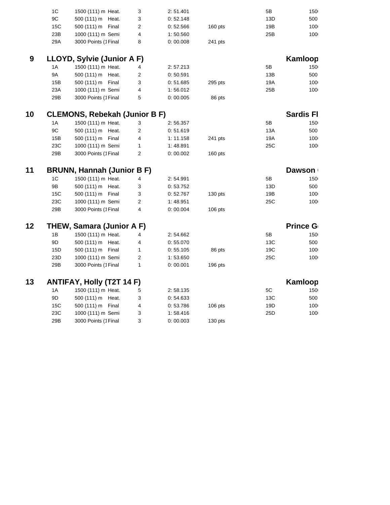|     | 1 <sup>C</sup> | 1500 (111) m Heat.                   | 3                        | 2:51.401  |           | 5B              | 150              |  |
|-----|----------------|--------------------------------------|--------------------------|-----------|-----------|-----------------|------------------|--|
|     | $9\mathrm{C}$  | 500 (111) m Heat.                    | 3                        | 0:52.148  |           | 13D             | 500              |  |
|     | 15C            | 500 (111) m Final                    | $\overline{2}$           | 0:52.566  | $160$ pts | 19B             | 100              |  |
|     | 23B            | 1000 (111) m Semi                    | $\pmb{4}$                | 1:50.560  |           | 25B             | 100              |  |
|     | 29A            | 3000 Points (1Final                  | 8                        | 0:00.008  | 241 pts   |                 |                  |  |
|     |                |                                      |                          |           |           |                 |                  |  |
| $9$ |                | LLOYD, Sylvie (Junior A F)           |                          |           |           |                 | Kamloop          |  |
|     | 1A             | 1500 (111) m Heat.                   | 4                        | 2: 57.213 |           | 5B              | 150              |  |
|     | 9A             | 500 (111) m Heat.                    | $\overline{c}$           | 0:50.591  |           | 13B             | 500              |  |
|     | 15B            | 500 (111) m Final                    | 3                        | 0:51.685  | 295 pts   | 19A             | 100              |  |
|     | 23A            | 1000 (111) m Semi                    | $\overline{\mathcal{L}}$ | 1:56.012  |           | 25B             | 100              |  |
|     | 29B            | 3000 Points (1Final                  | 5                        | 0:00.005  | 86 pts    |                 |                  |  |
| 10  |                | <b>CLEMONS, Rebekah (Junior B F)</b> |                          |           |           |                 | <b>Sardis Fl</b> |  |
|     | 1A             | 1500 (111) m Heat.                   | 3                        | 2:56.357  |           | 5B              | 150              |  |
|     | 9C             | 500 (111) m Heat.                    | $\overline{c}$           | 0:51.619  |           | 13A             | 500              |  |
|     | 15B            | 500 (111) m Final                    | 4                        | 1: 11.158 | 241 pts   | 19A             | 100              |  |
|     | 23C            | 1000 (111) m Semi                    | $\mathbf{1}$             | 1:48.891  |           | 25C             | 100              |  |
|     | 29B            | 3000 Points (1Final                  | $\overline{2}$           | 0:00.002  | $160$ pts |                 |                  |  |
|     |                |                                      |                          |           |           |                 |                  |  |
| 11  |                | <b>BRUNN, Hannah (Junior B F)</b>    |                          |           |           |                 | <b>Dawson</b>    |  |
|     | $1\mathrm{C}$  | 1500 (111) m Heat.                   | 4                        | 2:54.991  |           | 5B              | 150              |  |
|     | 9B             | 500 (111) m Heat.                    | 3                        | 0:53.752  |           | 13D             | 500              |  |
|     | 15C            | 500 (111) m Final                    | 3                        | 0:52.767  | 130 pts   | 19B             | 100              |  |
|     | 23C            | 1000 (111) m Semi                    | $\overline{c}$           | 1:48.951  |           | 25C             | 100              |  |
|     | 29B            | 3000 Points (1Final                  | 4                        | 0:00.004  | $106$ pts |                 |                  |  |
| 12  |                | THEW, Samara (Junior A F)            |                          |           |           |                 | <b>Prince G</b>  |  |
|     | 1B             | 1500 (111) m Heat.                   | 4                        | 2:54.662  |           | 5B              | 150              |  |
|     | 9D             | 500 (111) m Heat.                    | 4                        | 0:55.070  |           | 13C             | 500              |  |
|     | 15D            | 500 (111) m Final                    | $\mathbf{1}$             | 0:55.105  | 86 pts    | 19C             | 100              |  |
|     | 23D            | 1000 (111) m Semi                    | $\overline{c}$           | 1:53.650  |           | 25C             | 100              |  |
|     | 29B            | 3000 Points (1Final                  | $\mathbf{1}$             | 0:00.001  | $196$ pts |                 |                  |  |
| 13  |                | ANTIFAY, Holly (T2T 14 F)            |                          |           |           |                 | Kamloop          |  |
|     | $1\text{A}$    | 1500 (111) m Heat.                   |                          | 2:58.135  |           | $5\mathrm{C}$   |                  |  |
|     |                |                                      | 5                        |           |           |                 | 150              |  |
|     | 9D             | 500 (111) m Heat.                    | 3                        | 0:54.633  |           | 13C             | 500              |  |
|     | 15C            | 500 (111) m Final                    | 4                        | 0:53.786  | $106$ pts | 19D             | 100              |  |
|     | 23C            | 1000 (111) m Semi                    | 3                        | 1:58.416  |           | 25 <sub>D</sub> | 100              |  |
|     | 29B            | 3000 Points (1Final                  | 3                        | 0:00.003  | 130 pts   |                 |                  |  |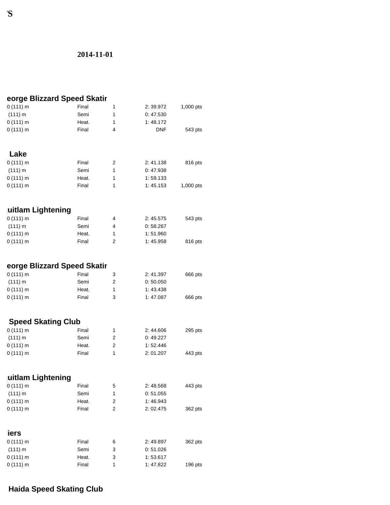### **2014-11-01**

|                           | eorge Blizzard Speed Skatir |                         |            |           |
|---------------------------|-----------------------------|-------------------------|------------|-----------|
| 0(111) m                  | Final                       | 1                       | 2:39.972   | 1,000 pts |
| (111) m                   | Semi                        | $\mathbf{1}$            | 0:47.530   |           |
| 0(111) m                  | Heat.                       | $\mathbf{1}$            | 1:48.172   |           |
| 0(111) m                  | Final                       | 4                       | <b>DNF</b> | 543 pts   |
| Lake                      |                             |                         |            |           |
| 0(111) m                  | Final                       | 2                       | 2:41.138   | 816 pts   |
| (111) m                   | Semi                        | $\mathbf{1}$            | 0:47.938   |           |
| 0(111) m                  | Heat.                       | $\mathbf{1}$            | 1:59.133   |           |
| 0(111) m                  | Final                       | $\mathbf{1}$            | 1:45.153   | 1,000 pts |
|                           |                             |                         |            |           |
| uitlam Lightening         |                             |                         |            |           |
| 0(111) m                  | Final                       | 4                       | 2:45.575   | 543 pts   |
| (111) m                   | Semi                        | 4                       | 0:58.267   |           |
| 0(111) m                  | Heat.                       | $\mathbf{1}$            | 1:51.960   |           |
| 0(111) m                  | Final                       | $\overline{2}$          | 1:45.958   | 816 pts   |
|                           | eorge Blizzard Speed Skatir |                         |            |           |
| 0(111) m                  | Final                       | 3                       | 2:41.397   | 666 pts   |
| (111) m                   | Semi                        | 2                       | 0:50.050   |           |
| 0(111) m                  | Heat.                       | 1                       | 1:43.438   |           |
| 0(111) m                  | Final                       | 3                       | 1:47.087   | 666 pts   |
| <b>Speed Skating Club</b> |                             |                         |            |           |
| 0(111) m                  | Final                       | 1                       | 2:44.606   | 295 pts   |
| (111) m                   | Semi                        | $\overline{2}$          | 0:49.227   |           |
| 0(111) m                  | Heat.                       | $\overline{2}$          | 1:52.446   |           |
| 0(111) m                  | Final                       | $\mathbf{1}$            | 2:01.207   | 443 pts   |
|                           |                             |                         |            |           |
| uitlam Lightening         |                             |                         |            |           |
| 0(111) m                  | Final                       | 5                       | 2:48.568   | 443 pts   |
| (111) m                   | Semi                        | $\mathbf 1$             | 0:51.055   |           |
| 0(111) m                  | Heat.                       | $\overline{\mathbf{c}}$ | 1:46.943   |           |
| 0(111) m                  | Final                       | $\overline{c}$          | 2:02.475   | 362 pts   |
| iers                      |                             |                         |            |           |
| 0(111) m                  | Final                       | 6                       | 2:49.897   | 362 pts   |
| (111) m                   | Semi                        | 3                       | 0:51.026   |           |
| 0(111) m                  | Heat.                       | 3                       | 1:53.617   |           |
| 0(111) m                  | Final                       | $\mathbf 1$             | 1:47.822   | $196$ pts |
|                           |                             |                         |            |           |

#### **FINAL COMP**

# **Haida Speed Skating Club**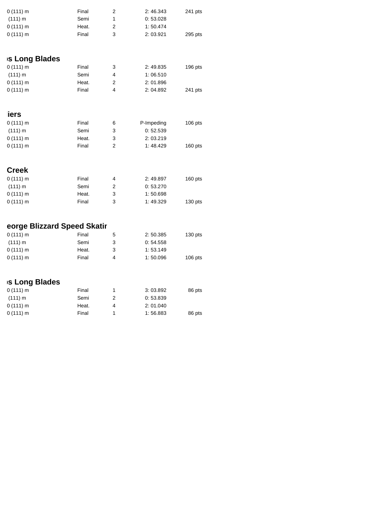| $0(111)$ m | Final |   | 2:46.343 | 241 pts |
|------------|-------|---|----------|---------|
| (111) m    | Semi  |   | 0:53.028 |         |
| $0(111)$ m | Heat. |   | 1:50.474 |         |
| $0(111)$ m | Final | 3 | 2:03.921 | 295 pts |

### **Kamaloops Kanadi**

| $0(111)$ m | Final |   | 2:49.835 | $196$ pts |
|------------|-------|---|----------|-----------|
| (111) m    | Semi  | Δ | 1:06.510 |           |
| $0(111)$ m | Heat. |   | 2:01.896 |           |
| $0(111)$ m | Final | Δ | 2:04.892 | 241 pts   |

#### **iers**

| $0(111)$ m | Final | 6 | P-Impeding | $106$ pts |
|------------|-------|---|------------|-----------|
| (111) m    | Semi  | 3 | 0:52.539   |           |
| $0(111)$ m | Heat. | 3 | 2:03.219   |           |
| $0(111)$ m | Final | 2 | 1:48.429   | $160$ pts |

| <b>Creek</b> |       |   |          |           |
|--------------|-------|---|----------|-----------|
| $0(111)$ m   | Final | 4 | 2:49.897 | $160$ pts |
| (111) m      | Semi  | 2 | 0:53.270 |           |
| $0(111)$ m   | Heat. | 3 | 1:50.698 |           |
| $0(111)$ m   | Final | 3 | 1:49.329 | $130$ pts |

# **eorge Blizzard Speed Skatir**

| $0(111)$ m | Final | 5 | 2:50.385 | $130$ pts |
|------------|-------|---|----------|-----------|
| (111) m    | Semi  |   | 0:54.558 |           |
| $0(111)$ m | Heat. |   | 1:53.149 |           |
| $0(111)$ m | Final | 4 | 1:50.096 | $106$ pts |

### **Kamaloops** Blades

| $0(111)$ m | Final |   | 3:03.892 | 86 pts |
|------------|-------|---|----------|--------|
| (111) m    | Semi  |   | 0:53.839 |        |
| $0(111)$ m | Heat. | Δ | 2:01.040 |        |
| $0(111)$ m | Final |   | 1:56.883 | 86 pts |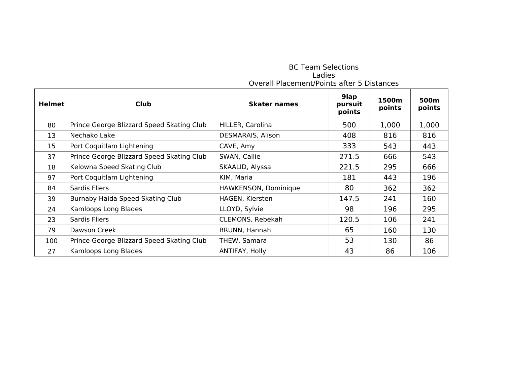#### BC Team Selections Ladies Overall Placement/Points after 5 Distances

| <b>Helmet</b> | <b>Club</b>                               | <b>Skater names</b>  | 9lap<br>pursuit<br>points | 1500m<br>points | 500m<br>points |
|---------------|-------------------------------------------|----------------------|---------------------------|-----------------|----------------|
| 80            | Prince George Blizzard Speed Skating Club | HILLER, Carolina     | 500                       | 1,000           | 1,000          |
| 13            | Nechako Lake                              | DESMARAIS, Alison    | 408                       | 816             | 816            |
| 15            | Port Coquitlam Lightening                 | CAVE, Amy            | 333                       | 543             | 443            |
| 37            | Prince George Blizzard Speed Skating Club | SWAN, Callie         | 271.5                     | 666             | 543            |
| 18            | Kelowna Speed Skating Club                | SKAALID, Alyssa      | 221.5                     | 295             | 666            |
| 97            | Port Coquitlam Lightening                 | KIM, Maria           | 181                       | 443             | 196            |
| 84            | Sardis Fliers                             | HAWKENSON, Dominique | 80                        | 362             | 362            |
| 39            | Burnaby Haida Speed Skating Club          | HAGEN, Kiersten      | 147.5                     | 241             | 160            |
| 24            | Kamloops Long Blades                      | LLOYD, Sylvie        | 98                        | 196             | 295            |
| 23            | Sardis Fliers                             | CLEMONS, Rebekah     | 120.5                     | 106             | 241            |
| 79            | Dawson Creek                              | BRUNN, Hannah        | 65                        | 160             | 130            |
| 100           | Prince George Blizzard Speed Skating Club | THEW, Samara         | 53                        | 130             | 86             |
| 27            | Kamloops Long Blades                      | ANTIFAY, Holly       | 43                        | 86              | 106            |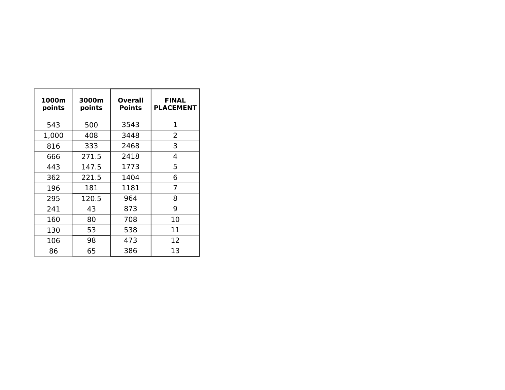| 1000m<br>points | 3000m<br>points | <b>Overall</b><br><b>Points</b> | <b>FINAL</b><br><b>PLACEMENT</b> |
|-----------------|-----------------|---------------------------------|----------------------------------|
| 543             | 500             | 3543                            | 1                                |
| 1,000           | 408             | 3448                            | 2                                |
| 816             | 333             | 2468                            | 3                                |
| 666             | 271.5           | 2418                            | 4                                |
| 443             | 147.5           | 1773                            | 5                                |
| 362             | 221.5           | 1404                            | 6                                |
| 196             | 181             | 1181                            | 7                                |
| 295             | 120.5           | 964                             | 8                                |
| 241             | 43              | 873                             | 9                                |
| 160             | 80              | 708                             | 10                               |
| 130             | 53              | 538                             | 11                               |
| 106             | 98              | 473                             | 12                               |
| 86              | 65              | 386                             | 13                               |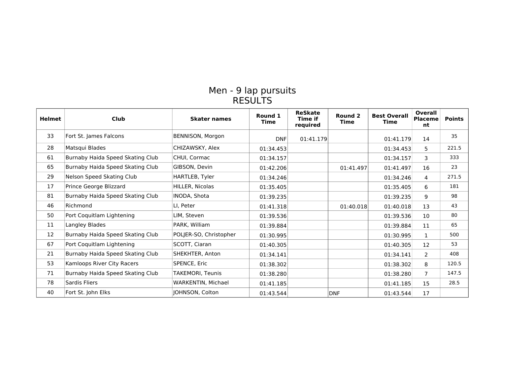#### Men - 9 lap pursuits RESULTS

| <b>Helmet</b>     | Club                             | <b>Skater names</b>    | Round 1<br><b>Time</b> | <b>ReSkate</b><br><b>Time if</b><br>required | Round <sub>2</sub><br><b>Time</b> | <b>Best Overall</b><br>Time | Overall<br>Placeme<br>nt | <b>Points</b> |
|-------------------|----------------------------------|------------------------|------------------------|----------------------------------------------|-----------------------------------|-----------------------------|--------------------------|---------------|
| 33                | Fort St. James Falcons           | BENNISON, Morgon       | <b>DNF</b>             | 01:41.179                                    |                                   | 01:41.179                   | 14                       | 35            |
| 28                | Matsqui Blades                   | CHIZAWSKY, Alex        | 01:34.453              |                                              |                                   | 01:34.453                   | 5                        | 221.5         |
| 61                | Burnaby Haida Speed Skating Club | CHUI, Cormac           | 01:34.157              |                                              |                                   | 01:34.157                   | 3                        | 333           |
| 65                | Burnaby Haida Speed Skating Club | GIBSON, Devin          | 01:42.206              |                                              | 01:41.497                         | 01:41.497                   | 16                       | 23            |
| 29                | Nelson Speed Skating Club        | HARTLEB, Tyler         | 01:34.246              |                                              |                                   | 01:34.246                   | 4                        | 271.5         |
| 17                | Prince George Blizzard           | HILLER, Nicolas        | 01:35.405              |                                              |                                   | 01:35.405                   | 6                        | 181           |
| 81                | Burnaby Haida Speed Skating Club | INODA, Shota           | 01:39.235              |                                              |                                   | 01:39.235                   | 9                        | 98            |
| 46                | Richmond                         | LI, Peter              | 01:41.318              |                                              | 01:40.018                         | 01:40.018                   | 13                       | 43            |
| 50                | Port Coquitlam Lightening        | LIM, Steven            | 01:39.536              |                                              |                                   | 01:39.536                   | 10                       | 80            |
| 11                | Langley Blades                   | PARK, William          | 01:39.884              |                                              |                                   | 01:39.884                   | 11                       | 65            |
| $12 \overline{ }$ | Burnaby Haida Speed Skating Club | POLJER-SO, Christopher | 01:30.995              |                                              |                                   | 01:30.995                   | $\mathbf{1}$             | 500           |
| 67                | Port Coquitlam Lightening        | SCOTT, Ciaran          | 01:40.305              |                                              |                                   | 01:40.305                   | 12                       | 53            |
| 21                | Burnaby Haida Speed Skating Club | SHEKHTER, Anton        | 01:34.141              |                                              |                                   | 01:34.141                   | $\overline{2}$           | 408           |
| 53                | Kamloops River City Racers       | SPENCE, Eric           | 01:38.302              |                                              |                                   | 01:38.302                   | 8                        | 120.5         |
| 71                | Burnaby Haida Speed Skating Club | TAKEMORI, Teunis       | 01:38.280              |                                              |                                   | 01:38.280                   | $\overline{7}$           | 147.5         |
| 78                | Sardis Fliers                    | WARKENTIN, Michael     | 01:41.185              |                                              |                                   | 01:41.185                   | 15                       | 28.5          |
| 40                | Fort St. John Elks               | JOHNSON, Colton        | 01:43.544              |                                              | <b>DNF</b>                        | 01:43.544                   | 17                       |               |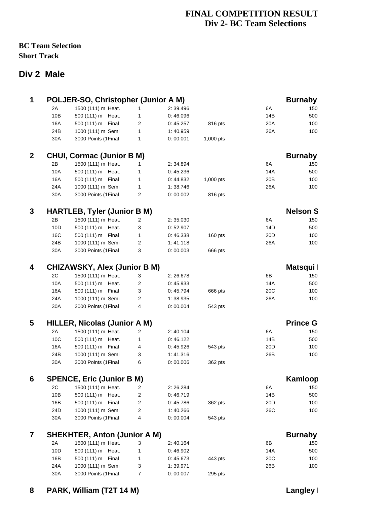### **FINAL COMPETITION RESULT Div 2- BC Team Selections**

#### **BC Team Selection Short Track**

## **Div 2 Male**

| $\mathbf 1$    |                 | POLJER-SO, Christopher (Junior A M) |                |          |           |                 | <b>Burnaby</b>  |  |
|----------------|-----------------|-------------------------------------|----------------|----------|-----------|-----------------|-----------------|--|
|                | 2A              | 1500 (111) m Heat.                  | $\mathbf{1}$   | 2:39.496 |           | 6A              | 150             |  |
|                | 10B             | 500 (111) m Heat.                   | $\mathbf{1}$   | 0:46.096 |           | 14B             | 500             |  |
|                | 16A             | 500 (111) m Final                   | $\overline{c}$ | 0:45.257 | 816 pts   | 20A             | 100             |  |
|                | 24B             | 1000 (111) m Semi                   | $\mathbf{1}$   | 1:40.959 |           | 26A             | 100             |  |
|                | 30A             | 3000 Points (1Final                 | $\mathbf{1}$   | 0:00.001 | 1,000 pts |                 |                 |  |
| $\overline{2}$ |                 | <b>CHUI, Cormac (Junior B M)</b>    |                |          |           |                 | <b>Burnaby</b>  |  |
|                | 2B              | 1500 (111) m Heat.                  | $\mathbf{1}$   | 2:34.894 |           | 6A              | 150             |  |
|                | 10A             | 500 (111) m Heat.                   | $\mathbf{1}$   | 0:45.236 |           | 14A             | 500             |  |
|                | 16A             | 500 (111) m Final                   | $\mathbf{1}$   | 0:44.832 | 1,000 pts | 20B             | 100             |  |
|                | 24A             | 1000 (111) m Semi                   | $\mathbf{1}$   | 1:38.746 |           | 26A             | 100             |  |
|                | 30A             | 3000 Points (1Final                 | $\overline{2}$ | 0:00.002 | 816 pts   |                 |                 |  |
| 3              |                 | <b>HARTLEB, Tyler (Junior B M)</b>  |                |          |           |                 | <b>Nelson S</b> |  |
|                | 2B              | 1500 (111) m Heat.                  | $\overline{c}$ | 2:35.030 |           | 6A              | 150             |  |
|                | 10D             | 500 (111) m Heat.                   | 3              | 0:52.907 |           | 14D             | 500             |  |
|                | 16C             | 500 (111) m Final                   | $\mathbf{1}$   | 0:46.338 | 160 pts   | 20 <sub>D</sub> | 100             |  |
|                | 24B             | 1000 (111) m Semi                   | $\overline{2}$ | 1:41.118 |           | 26A             | 100             |  |
|                | 30A             | 3000 Points (1Final                 | 3              | 0:00.003 | 666 pts   |                 |                 |  |
|                |                 |                                     |                |          |           |                 |                 |  |
| 4              |                 | <b>CHIZAWSKY, Alex (Junior B M)</b> |                |          |           |                 | Matsqui I       |  |
|                | 2C              | 1500 (111) m Heat.                  | 3              | 2:26.678 |           | 6B              | 150             |  |
|                | 10A             | 500 (111) m Heat.                   | $\overline{c}$ | 0:45.933 |           | 14A             | 500             |  |
|                | 16A             | 500 (111) m Final                   | 3              | 0:45.794 | 666 pts   | 20C             | 100             |  |
|                | 24A             | 1000 (111) m Semi                   | $\overline{2}$ | 1:38.935 |           | 26A             | 100             |  |
|                | 30A             | 3000 Points (1Final                 | 4              | 0:00.004 | 543 pts   |                 |                 |  |
| 5              |                 | <b>HILLER, Nicolas (Junior A M)</b> |                |          |           |                 | <b>Prince G</b> |  |
|                | 2A              | 1500 (111) m Heat.                  | 2              | 2:40.104 |           | 6A              | 150             |  |
|                | 10C             | 500 (111) m Heat.                   | $\mathbf{1}$   | 0:46.122 |           | 14B             | 500             |  |
|                | 16A             | 500 (111) m Final                   | 4              | 0:45.926 | 543 pts   | 20 <sub>D</sub> | 100             |  |
|                | 24B             | 1000 (111) m Semi                   | 3              | 1:41.316 |           | 26B             | 100             |  |
|                | 30A             | 3000 Points (1Final                 | 6              | 0:00.006 | 362 pts   |                 |                 |  |
| 6              |                 | <b>SPENCE, Eric (Junior B M)</b>    |                |          |           |                 | Kamloop         |  |
|                | 2C              | 1500 (111) m Heat.                  | $\mathbf{2}$   | 2:26.284 |           | 6A              | 150             |  |
|                | 10B             | 500 (111) m Heat.                   | $\overline{c}$ | 0:46.719 |           | 14B             | 500             |  |
|                | 16B             | 500 (111) m Final                   | $\overline{c}$ | 0:45.786 | 362 pts   | 20D             | 100             |  |
|                | 24 <sub>D</sub> | 1000 (111) m Semi                   | $\overline{2}$ | 1:40.266 |           | 26C             | 100             |  |
|                | 30A             | 3000 Points (1Final                 | 4              | 0:00.004 | 543 pts   |                 |                 |  |
| 7              |                 | <b>SHEKHTER, Anton (Junior A M)</b> |                |          |           |                 | <b>Burnaby</b>  |  |
|                | 2A              | 1500 (111) m Heat.                  | 3              | 2:40.164 |           | 6B              | 150             |  |
|                | 10D             | 500 (111) m Heat.                   | $\mathbf{1}$   | 0:46.902 |           | 14A             | 500             |  |
|                | 16B             | 500 (111) m Final                   | $\mathbf{1}$   | 0:45.673 | 443 pts   | 20C             | 100             |  |
|                | 24A             | 1000 (111) m Semi                   | 3              | 1:39.971 |           | 26B             | 100             |  |
|                | 30A             | 3000 Points (1Final                 | $\overline{7}$ | 0:00.007 | 295 pts   |                 |                 |  |
|                |                 |                                     |                |          |           |                 |                 |  |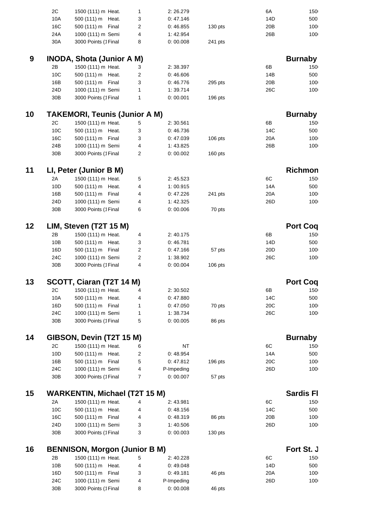|    | 2C              | 1500 (111) m Heat.                   | 1              | 2:26.279             |           | 6A              | 150              |  |
|----|-----------------|--------------------------------------|----------------|----------------------|-----------|-----------------|------------------|--|
|    | 10A             | 500 (111) m Heat.                    | 3              | 0:47.146             |           | 14D             | 500              |  |
|    | 16C             | 500 (111) m Final                    | 2              | 0:46.855             | 130 pts   | 20 <sub>B</sub> | 100              |  |
|    | 24A             | 1000 (111) m Semi                    | 4              | 1:42.954             |           | 26B             | 100              |  |
|    | 30A             | 3000 Points (1Final                  | 8              | 0:00.008             | 241 pts   |                 |                  |  |
|    |                 |                                      |                |                      |           |                 |                  |  |
| 9  |                 | <b>INODA, Shota (Junior A M)</b>     |                |                      |           |                 | <b>Burnaby</b>   |  |
|    | 2В              | 1500 (111) m Heat.                   | 3              | 2:38.397             |           | 6В              | 150              |  |
|    | 10C             | 500 (111) m Heat.                    | 2              | 0:46.606             |           | 14B             | 500              |  |
|    | 16B             | 500 (111) m Final                    |                |                      |           | 20 <sub>B</sub> | 100              |  |
|    |                 |                                      | 3              | 0:46.776             | 295 pts   |                 |                  |  |
|    | 24D             | 1000 (111) m Semi                    | $\mathbf 1$    | 1:39.714             |           | 26C             | 100              |  |
|    | 30B             | 3000 Points (1Final                  | $\mathbf{1}$   | 0:00.001             | 196 pts   |                 |                  |  |
| 10 |                 | <b>TAKEMORI, Teunis (Junior A M)</b> |                |                      |           |                 | <b>Burnaby</b>   |  |
|    | 2C              | 1500 (111) m Heat.                   | 5              | 2:30.561             |           | 6B              | 150              |  |
|    |                 |                                      |                |                      |           |                 |                  |  |
|    | 10 <sub>C</sub> | 500 (111) m Heat.                    | 3              | 0:46.736             |           | 14C             | 500              |  |
|    | 16C             | 500 (111) m Final                    | 3              | 0:47.039             | $106$ pts | 20A             | 100              |  |
|    | 24B             | 1000 (111) m Semi                    | 4              | 1:43.825             |           | 26B             | 100              |  |
|    | 30B             | 3000 Points (1Final                  | 2              | 0:00.002             | $160$ pts |                 |                  |  |
| 11 |                 | LI, Peter (Junior B M)               |                |                      |           |                 | Richmon          |  |
|    |                 |                                      |                |                      |           |                 |                  |  |
|    | 2A              | 1500 (111) m Heat.                   | 5              | 2:45.523             |           | 6C              | 150              |  |
|    | 10D             | 500 (111) m Heat.                    | 4              | 1:00.915             |           | 14A             | 500              |  |
|    | 16B             | 500 (111) m Final                    | 4              | 0:47.226             | 241 pts   | 20A             | 100              |  |
|    | 24D             | 1000 (111) m Semi                    | 4              | 1:42.325             |           | 26 <sub>D</sub> | 100              |  |
|    | 30B             | 3000 Points (1Final                  | 6              | 0:00.006             | 70 pts    |                 |                  |  |
| 12 |                 | LIM, Steven (T2T 15 M)               |                |                      |           |                 | <b>Port Coq</b>  |  |
|    |                 |                                      |                |                      |           |                 |                  |  |
|    | 2B              | 1500 (111) m Heat.                   | 4              | 2:40.175             |           | 6B              | 150              |  |
|    | 10B             | 500 (111) m Heat.                    | 3              | 0:46.781             |           | 14D             | 500              |  |
|    | 16D             | 500 (111) m Final                    | 2              | 0:47.166             | 57 pts    | 20D             | 100              |  |
|    | 24C             | 1000 (111) m Semi                    | 2              | 1:38.902             |           | 26C             | 100              |  |
|    | 30B             | 3000 Points (1 Final                 | 4              | 0:00.004             | $106$ pts |                 |                  |  |
| 13 |                 | SCOTT, Ciaran (T2T 14 M)             |                |                      |           |                 | <b>Port Coq</b>  |  |
|    |                 | 2C 1500 (111) m Heat. 4              |                | 2:30.502             |           | 6B              | 150              |  |
|    | 10A             | 500 (111) m Heat.                    | 4              | 0:47.880             |           | 14C             | 500              |  |
|    | 16D             | 500 (111) m Final                    | $\mathbf{1}$   | 0:47.050             | 70 pts    | 20C             | 100              |  |
|    | 24C             | 1000 (111) m Semi                    |                |                      |           | 26C             | 100              |  |
|    | 30B             | 3000 Points (1Final                  | 1<br>5         | 1:38.734<br>0:00.005 |           |                 |                  |  |
|    |                 |                                      |                |                      | 86 pts    |                 |                  |  |
| 14 |                 | GIBSON, Devin (T2T 15 M)             |                |                      |           |                 | <b>Burnaby</b>   |  |
|    | 2C              | 1500 (111) m Heat.                   | 6              | <b>NT</b>            |           | 6C              | 150              |  |
|    | 10D             | 500 (111) m Heat.                    | 2              | 0:48.954             |           | 14A             | 500              |  |
|    | 16B             | 500 (111) m Final                    | 5              | 0:47.812             | 196 pts   | 20C             | 100              |  |
|    | 24C             | 1000 (111) m Semi                    | 4              | P-Impeding           |           | 26D             | 100              |  |
|    | 30B             | 3000 Points (1Final                  | $\overline{7}$ | 0:00.007             | 57 pts    |                 |                  |  |
|    |                 |                                      |                |                      |           |                 |                  |  |
| 15 |                 | <b>WARKENTIN, Michael (T2T 15 M)</b> |                |                      |           |                 | <b>Sardis Fl</b> |  |
|    | 2A              | 1500 (111) m Heat.                   | 4              | 2:43.981             |           | 6C              | 150              |  |
|    | 10 <sup>C</sup> | 500 (111) m Heat.                    | 4              | 0:48.156             |           | 14C             | 500              |  |
|    | 16C             | 500 (111) m Final                    | 4              | 0:48.319             | 86 pts    | 20 <sub>B</sub> | 100              |  |
|    | 24D             | 1000 (111) m Semi                    | 3              | 1:40.506             |           | 26 <sub>D</sub> | 100              |  |
|    | 30B             | 3000 Points (1Final                  | 3              | 0:00.003             | 130 pts   |                 |                  |  |
|    |                 |                                      |                |                      |           |                 |                  |  |
| 16 |                 | <b>BENNISON, Morgon (Junior B M)</b> |                |                      |           |                 | Fort St. J       |  |
|    | 2B              | 1500 (111) m Heat.                   | 5              | 2:40.228             |           | 6C              | 150              |  |
|    | 10B             | 500 (111) m Heat.                    | 4              | 0:49.048             |           | 14D             | 500              |  |
|    | 16D             | 500 (111) m Final                    | 3              | 0:49.181             | 46 pts    | 20A             | 100              |  |
|    | 24C             | 1000 (111) m Semi                    | 4              | P-Impeding           |           | 26 <sub>D</sub> | 100              |  |
|    | 30B             | 3000 Points (1Final                  | 8              | 0:00.008             | 46 pts    |                 |                  |  |
|    |                 |                                      |                |                      |           |                 |                  |  |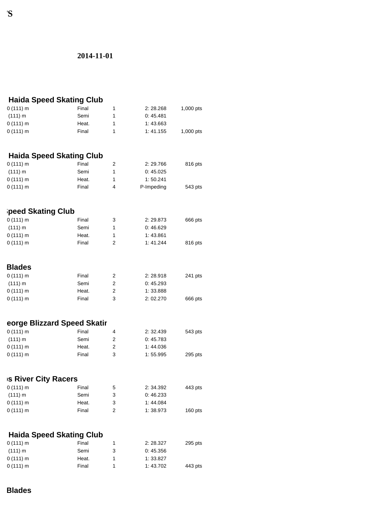#### **2014-11-01**

| <b>Haida Speed Skating Club</b> |       |  |          |           |  |  |
|---------------------------------|-------|--|----------|-----------|--|--|
| $0(111)$ m                      | Final |  | 2:28.268 | 1,000 pts |  |  |
| (111) m                         | Semi  |  | 0:45.481 |           |  |  |
| $0(111)$ m                      | Heat. |  | 1:43.663 |           |  |  |
| 0(111) m                        | Final |  | 1:41.155 | 1,000 pts |  |  |

### **Haida Speed Skating Club**

| $0(111)$ m | Final | 2:29.766   | 816 pts |
|------------|-------|------------|---------|
| (111) m    | Semi  | 0:45.025   |         |
| $0(111)$ m | Heat. | 1:50.241   |         |
| $0(111)$ m | Final | P-Impeding | 543 pts |

### **Peed Skating Club**

| $0(111)$ m | Final | 3 | 2:29.873 | 666 pts |
|------------|-------|---|----------|---------|
| (111) m    | Semi  |   | 0:46.629 |         |
| $0(111)$ m | Heat. |   | 1:43.861 |         |
| $0(111)$ m | Final | 2 | 1:41.244 | 816 pts |

| <b>Blades</b> |       |   |          |         |
|---------------|-------|---|----------|---------|
| $0(111)$ m    | Final | 2 | 2:28.918 | 241 pts |
| (111) m       | Semi  | 2 | 0:45.293 |         |
| $0(111)$ m    | Heat. | 2 | 1:33.888 |         |
| $0(111)$ m    | Final | 3 | 2:02.270 | 666 pts |

#### **eorge Blizzard Speed Skatir**

| $0(111)$ m | Final | 4 | 2:32.439 | 543 pts |
|------------|-------|---|----------|---------|
| (111) m    | Semi  |   | 0:45.783 |         |
| $0(111)$ m | Heat. |   | 1:44.036 |         |
| $0(111)$ m | Final |   | 1:55.995 | 295 pts |

#### **IS River City Racers**

| $0(111)$ m | Final | 5 | 2: 34.392 | 443 pts   |
|------------|-------|---|-----------|-----------|
| (111) m    | Semi  |   | 0:46.233  |           |
| $0(111)$ m | Heat. |   | 1:44.084  |           |
| $0(111)$ m | Final |   | 1:38.973  | $160$ pts |

#### **Haida Speed Skating Club**

| $0(111)$ m | Final | 2:28.327 | 295 pts |
|------------|-------|----------|---------|
| (111) m    | Semi  | 0:45.356 |         |
| $0(111)$ m | Heat. | 1:33.827 |         |
| $0(111)$ m | Final | 1:43.702 | 443 pts |

#### **Blades**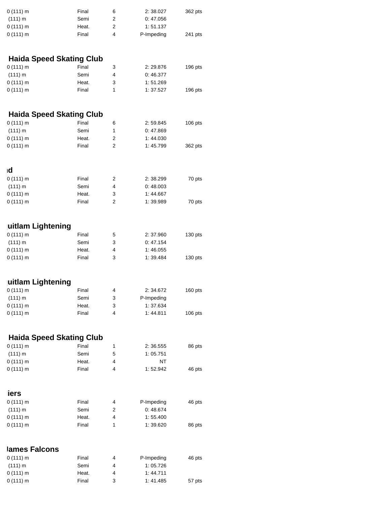| $0(111)$ m | Final | 6 | 2:38.027   | 362 pts |
|------------|-------|---|------------|---------|
| (111) m    | Semi  |   | 0:47.056   |         |
| $0(111)$ m | Heat. |   | 1:51.137   |         |
| $0(111)$ m | Final | 4 | P-Impeding | 241 pts |
|            |       |   |            |         |

#### **Haida Speed Skating Club**

| $0(111)$ m | Final | 3 | 2:29.876 | $196$ pts |
|------------|-------|---|----------|-----------|
| (111) m    | Semi  | Δ | 0:46.377 |           |
| $0(111)$ m | Heat. | 3 | 1:51.269 |           |
| 0(111) m   | Final |   | 1:37.527 | $196$ pts |

### **Haida Speed Skating Club**

| $0(111)$ m | Final | 6 | 2:59.845 | $106$ pts |
|------------|-------|---|----------|-----------|
| (111) m    | Semi  |   | 0:47.869 |           |
| $0(111)$ m | Heat. | 2 | 1:44.030 |           |
| 0(111) m   | Final | 2 | 1:45.799 | 362 pts   |

| ۱d         |       |   |          |        |
|------------|-------|---|----------|--------|
| $0(111)$ m | Final |   | 2:38.299 | 70 pts |
| (111) m    | Semi  | 4 | 0:48.003 |        |
| $0(111)$ m | Heat. | 3 | 1:44.667 |        |
| $0(111)$ m | Final | っ | 1:39.989 | 70 pts |

# **uitlam Lightening**

| $0(111)$ m | Final | 5 | 2:37.960 | $130$ pts |
|------------|-------|---|----------|-----------|
| (111) m    | Semi  |   | 0:47.154 |           |
| $0(111)$ m | Heat. | Δ | 1:46.055 |           |
| $0(111)$ m | Final |   | 1:39.484 | $130$ pts |

### **uitlam Lightening**

| $0(111)$ m | Final | 4 | 2:34.672   | $160$ pts |
|------------|-------|---|------------|-----------|
| (111) m    | Semi  | 3 | P-Impeding |           |
| $0(111)$ m | Heat. | 3 | 1:37.634   |           |
| 0(111) m   | Final | 4 | 1:44.811   | $106$ pts |

### **Haida Speed Skating Club**

| $0(111)$ m | Final |   | 2:36.555 | 86 pts |
|------------|-------|---|----------|--------|
| (111) m    | Semi  | 5 | 1:05.751 |        |
| $0(111)$ m | Heat. | 4 | NT       |        |
| $0(111)$ m | Final | Δ | 1:52.942 | 46 pts |

| Final | 4 | P-Impeding | 46 pts |
|-------|---|------------|--------|
| Semi  | 2 | 0:48.674   |        |
| Heat. | 4 | 1:55.400   |        |
| Final |   | 1:39.620   | 86 pts |
|       |   |            |        |

#### **James Falcons**

| $0(111)$ m | Final | 4 | P-Impeding | 46 pts |
|------------|-------|---|------------|--------|
| (111) m    | Semi  | Δ | 1:05.726   |        |
| $0(111)$ m | Heat. | 4 | 1:44.711   |        |
| $0(111)$ m | Final |   | 1:41.485   | 57 pts |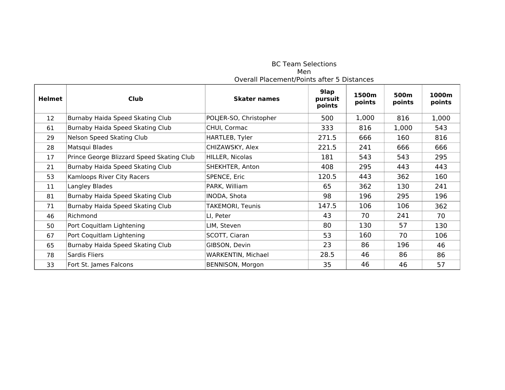| <b>Helmet</b> | Club                                      | <b>Skater names</b>    | 9lap<br>pursuit<br>points | 1500m<br>points | 500m<br>points | 1000m<br>points |
|---------------|-------------------------------------------|------------------------|---------------------------|-----------------|----------------|-----------------|
| 12            | Burnaby Haida Speed Skating Club          | POLJER-SO, Christopher | 500                       | 1,000           | 816            | 1,000           |
| 61            | Burnaby Haida Speed Skating Club          | CHUI, Cormac           | 333                       | 816             | 1,000          | 543             |
| 29            | Nelson Speed Skating Club                 | HARTLEB, Tyler         | 271.5                     | 666             | 160            | 816             |
| 28            | Matsqui Blades                            | CHIZAWSKY, Alex        | 221.5                     | 241             | 666            | 666             |
| 17            | Prince George Blizzard Speed Skating Club | HILLER, Nicolas        | 181                       | 543             | 543            | 295             |
| 21            | Burnaby Haida Speed Skating Club          | SHEKHTER, Anton        | 408                       | 295             | 443            | 443             |
| 53            | Kamloops River City Racers                | SPENCE, Eric           | 120.5                     | 443             | 362            | 160             |
| 11            | Langley Blades                            | PARK, William          | 65                        | 362             | 130            | 241             |
| 81            | Burnaby Haida Speed Skating Club          | INODA, Shota           | 98                        | 196             | 295            | 196             |
| 71            | Burnaby Haida Speed Skating Club          | TAKEMORI, Teunis       | 147.5                     | 106             | 106            | 362             |
| 46            | Richmond                                  | LI, Peter              | 43                        | 70              | 241            | 70              |
| 50            | Port Coquitlam Lightening                 | LIM, Steven            | 80                        | 130             | 57             | 130             |
| 67            | Port Coquitlam Lightening                 | SCOTT, Ciaran          | 53                        | 160             | 70             | 106             |
| 65            | Burnaby Haida Speed Skating Club          | GIBSON, Devin          | 23                        | 86              | 196            | 46              |
| 78            | Sardis Fliers                             | WARKENTIN, Michael     | 28.5                      | 46              | 86             | 86              |
| 33            | Fort St. James Falcons                    | BENNISON, Morgon       | 35                        | 46              | 46             | 57              |

BC Team Selections Men Overall Placement/Points after 5 Distances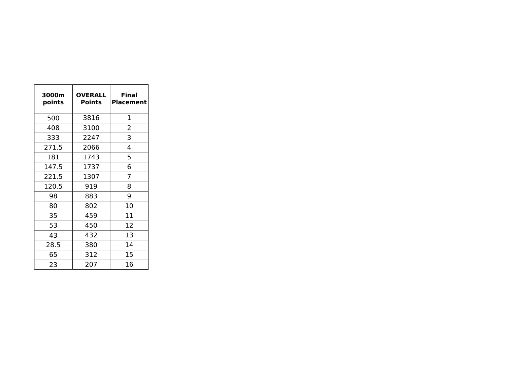| 3000m<br>points | <b>OVERALL</b><br>Points | Final<br><b>Placement</b> |
|-----------------|--------------------------|---------------------------|
| 500             | 3816                     | 1                         |
| 408             | 3100                     | 2                         |
| 333             | 2247                     | 3                         |
| 271.5           | 2066                     | 4                         |
| 181             | 1743                     | 5                         |
| 147.5           | 1737                     | 6                         |
| 221.5           | 1307                     | 7                         |
| 120.5           | 919                      | 8                         |
| 98              | 883                      | 9                         |
| 80              | 802                      | 10                        |
| 35              | 459                      | 11                        |
| 53              | 450                      | 12                        |
| 43              | 432                      | 13                        |
| 28.5            | 380                      | 14                        |
| 65              | 312                      | 15                        |
| 23              | 207                      | 16                        |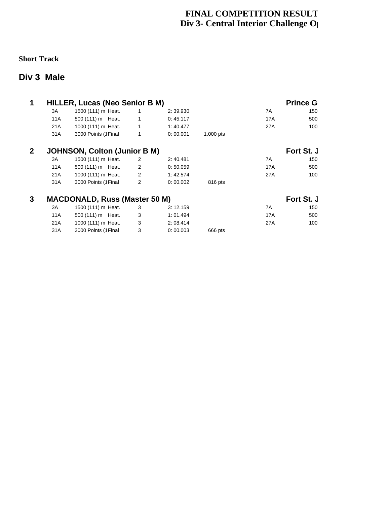### **FINAL COMPETITION RESULT Div 3- Central Interior Challenge O**

#### **Short Track**

### **Div 3 Male**

| 1              |     | <b>HILLER, Lucas (Neo Senior B M)</b> |                |          |             |     | <b>Prince G</b> |  |
|----------------|-----|---------------------------------------|----------------|----------|-------------|-----|-----------------|--|
|                | 3A  | 1500 (111) m Heat.                    | $\mathbf{1}$   | 2:39.930 |             | 7A  | 150             |  |
|                | 11A | 500 (111) m Heat.                     | $\mathbf{1}$   | 0:45.117 |             | 17A | 500             |  |
|                | 21A | 1000 (111) m Heat.                    | $\mathbf{1}$   | 1:40.477 |             | 27A | 100             |  |
|                | 31A | 3000 Points (1 Final                  | $\mathbf{1}$   | 0:00.001 | $1,000$ pts |     |                 |  |
| 2 <sup>1</sup> |     | <b>JOHNSON, Colton (Junior B M)</b>   |                |          |             |     | Fort St. J      |  |
|                | 3A  | 1500 (111) m Heat.                    | $\overline{2}$ | 2:40.481 |             | 7A  | 150             |  |
|                | 11A | 500 (111) m Heat.                     | $\overline{2}$ | 0:50.059 |             | 17A | 500             |  |
|                | 21A | 1000 (111) m Heat.                    | $\overline{2}$ | 1:42.574 |             | 27A | 100             |  |
|                | 31A | 3000 Points (1 Final                  | $\mathbf{2}$   | 0:00.002 | 816 pts     |     |                 |  |
| 3              |     | <b>MACDONALD, Russ (Master 50 M)</b>  |                |          |             |     | Fort St. J      |  |
|                | 3A  | 1500 (111) m Heat.                    | 3              | 3:12.159 |             | 7A  | 150             |  |
|                | 11A | 500 (111) m Heat.                     | 3              | 1:01.494 |             | 17A | 500             |  |
|                | 21A | 1000 (111) m Heat.                    | 3              | 2:08.414 |             | 27A | 100             |  |
|                |     |                                       |                |          |             |     |                 |  |

31A 3000 Points (1Final 3 0: 00.003 666 pts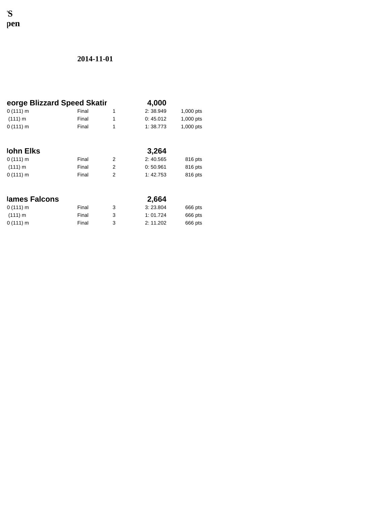## **FINAL COMP** 'S<br>p**en**

| eorge Blizzard Speed Skatir |       |                | 4,000    |           |
|-----------------------------|-------|----------------|----------|-----------|
| $0(111)$ m                  | Final | 1              | 2:38.949 | 1,000 pts |
| (111) m                     | Final | $\mathbf{1}$   | 0:45.012 | 1,000 pts |
| 0(111) m                    | Final | 1              | 1:38.773 | 1,000 pts |
|                             |       |                |          |           |
| John Elks                   |       |                | 3,264    |           |
| $0(111)$ m                  | Final | 2              | 2:40.565 | 816 pts   |
| (111) m                     | Final | $\overline{2}$ | 0:50.961 | 816 pts   |
| 0(111) m                    | Final | $\overline{2}$ | 1:42.753 | 816 pts   |
|                             |       |                |          |           |
| lames Falcons               |       |                | 2,664    |           |
| $0(111)$ m                  | Final | 3              | 3:23.804 | 666 pts   |
| (111) m                     | Final | 3              | 1:01.724 | 666 pts   |
| $0(111)$ m                  | Final | 3              | 2:11.202 | 666 pts   |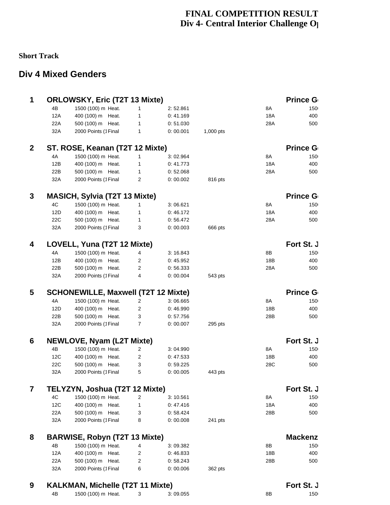## **FINAL COMPETITION RESULT Div 4- Central Interior Challenge O**

#### **Short Track**

## **Div 4 Mixed Genders**

| 1              |     | <b>ORLOWSKY, Eric (T2T 13 Mixte)</b>       |                |                      |           |     | <b>Prince G</b> |  |
|----------------|-----|--------------------------------------------|----------------|----------------------|-----------|-----|-----------------|--|
|                | 4B  | 1500 (100) m Heat.                         | $\mathbf{1}$   | 2:52.861             |           | 8A  | 150             |  |
|                | 12A | 400 (100) m Heat.                          | $\mathbf{1}$   | 0:41.169             |           | 18A | 400             |  |
|                | 22A | 500 (100) m Heat.                          | $\mathbf{1}$   | 0:51.030             |           | 28A | 500             |  |
|                | 32A | 2000 Points (1Final                        | $\mathbf{1}$   | 0:00.001             | 1,000 pts |     |                 |  |
|                |     |                                            |                |                      |           |     |                 |  |
| $\overline{2}$ |     | ST. ROSE, Keanan (T2T 12 Mixte)            |                |                      |           |     | <b>Prince G</b> |  |
|                | 4A  | 1500 (100) m Heat.                         | $\mathbf{1}$   | 3:02.964             |           | 8A  | 150             |  |
|                | 12B | 400 (100) m Heat.                          | $\mathbf{1}$   | 0:41.773             |           | 18A | 400             |  |
|                | 22B | 500 (100) m Heat.                          | $\mathbf{1}$   | 0:52.068             |           | 28A | 500             |  |
|                | 32A | 2000 Points (1Final                        | $\overline{2}$ | 0:00.002             | 816 pts   |     |                 |  |
|                |     |                                            |                |                      |           |     |                 |  |
| 3              |     | <b>MASICH, Sylvia (T2T 13 Mixte)</b>       |                |                      |           |     | <b>Prince G</b> |  |
|                | 4C  | 1500 (100) m Heat.                         | $\mathbf{1}$   | 3:06.621             |           | 8A  | 150             |  |
|                | 12D | 400 (100) m Heat.                          | $\mathbf{1}$   | 0:46.172             |           | 18A | 400             |  |
|                | 22C | 500 (100) m Heat.                          | $\mathbf{1}$   | 0:56.472             |           | 28A | 500             |  |
|                | 32A | 2000 Points (1Final                        | 3              | 0:00.003             | 666 pts   |     |                 |  |
| 4              |     | LOVELL, Yuna (T2T 12 Mixte)                |                |                      |           |     | Fort St. J      |  |
|                | 4A  | 1500 (100) m Heat.                         | 4              | 3:16.843             |           | 8Β  | 150             |  |
|                | 12B | 400 (100) m Heat.                          | $\overline{2}$ | 0:45.952             |           | 18B | 400             |  |
|                | 22B | 500 (100) m Heat.                          | $\overline{2}$ | 0:56.333             |           | 28A | 500             |  |
|                | 32A | 2000 Points (1Final                        | 4              | 0:00.004             | 543 pts   |     |                 |  |
|                |     |                                            |                |                      |           |     |                 |  |
| 5              |     | <b>SCHONEWILLE, Maxwell (T2T 12 Mixte)</b> |                |                      |           |     | <b>Prince G</b> |  |
|                | 4A  | 1500 (100) m Heat.                         | $\overline{2}$ | 3:06.665             |           | 8A  | 150             |  |
|                | 12D | 400 (100) m Heat.                          | $\overline{c}$ | 0:46.990             |           | 18B | 400             |  |
|                | 22B | 500 (100) m Heat.                          | 3              | 0:57.756             |           | 28B | 500             |  |
|                | 32A | 2000 Points (1Final                        | $\overline{7}$ | 0:00.007             | 295 pts   |     |                 |  |
| 6              |     | NEWLOVE, Nyam (L2T Mixte)                  |                |                      |           |     | Fort St. J      |  |
|                | 4B  | 1500 (100) m Heat.                         | $\overline{2}$ |                      |           | 8A  | 150             |  |
|                | 12C | 400 (100) m Heat.                          |                | 3:04.990             |           | 18B | 400             |  |
|                | 22C | 500 (100) m Heat.                          | 2              | 0:47.533<br>0:59.225 |           | 28C | 500             |  |
|                | 32A |                                            | 3<br>5         | 0:00.005             | 443 pts   |     |                 |  |
|                |     | 2000 Points (1Final                        |                |                      |           |     |                 |  |
| 7              |     | TELYZYN, Joshua (T2T 12 Mixte)             |                |                      |           |     | Fort St. J      |  |
|                | 4C  | 1500 (100) m Heat.                         | $\overline{2}$ | 3:10.561             |           | 8A  | 150             |  |
|                | 12C | 400 (100) m Heat.                          | $\mathbf{1}$   | 0:47.416             |           | 18A | 400             |  |
|                | 22A | 500 (100) m Heat.                          | 3              | 0:58.424             |           | 28B | 500             |  |
|                | 32A | 2000 Points (1Final                        | 8              | 0:00.008             | 241 pts   |     |                 |  |
| 8              |     | <b>BARWISE, Robyn (T2T 13 Mixte)</b>       |                |                      |           |     | <b>Mackenz</b>  |  |
|                | 4B  | 1500 (100) m Heat.                         | 4              | 3:09.382             |           | 8Β  | 150             |  |
|                | 12A | 400 (100) m Heat.                          | $\overline{2}$ | 0:46.833             |           | 18B | 400             |  |
|                | 22A | 500 (100) m Heat.                          | $\overline{2}$ | 0:58.243             |           | 28B | 500             |  |
|                | 32A | 2000 Points (1Final                        | 6              | 0:00.006             | 362 pts   |     |                 |  |
|                |     |                                            |                |                      |           |     |                 |  |
| 9              |     | <b>KALKMAN, Michelle (T2T 11 Mixte)</b>    |                |                      |           |     | Fort St. J      |  |
|                | 4B  | 1500 (100) m Heat.                         | 3              | 3:09.055             |           | 8B  | 150             |  |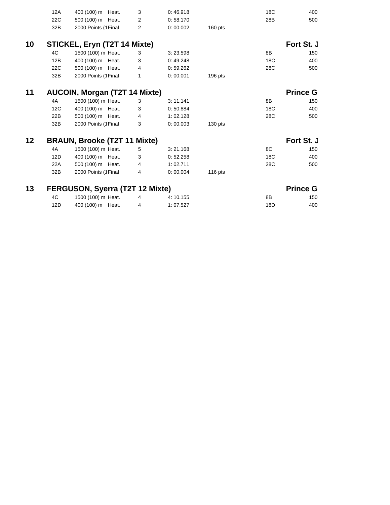|    | 12A | 400 (100) m Heat.                   | 3              | 0:46.918 |           | 18C | 400             |  |
|----|-----|-------------------------------------|----------------|----------|-----------|-----|-----------------|--|
|    | 22C | 500 (100) m Heat.                   | $\overline{2}$ | 0:58.170 |           | 28B | 500             |  |
|    | 32B | 2000 Points (1Final                 | $\overline{2}$ | 0:00.002 | $160$ pts |     |                 |  |
|    |     |                                     |                |          |           |     |                 |  |
| 10 |     | STICKEL, Eryn (T2T 14 Mixte)        |                |          |           |     | Fort St. J      |  |
|    | 4C  | 1500 (100) m Heat.                  | 3              | 3:23.598 |           | 8B  | 150             |  |
|    | 12B | 400 (100) m Heat.                   | 3              | 0:49.248 |           | 18C | 400             |  |
|    | 22C | 500 (100) m Heat.                   | 4              | 0:59.262 |           | 28C | 500             |  |
|    | 32B | 2000 Points (1Final                 | $\mathbf{1}$   | 0:00.001 | $196$ pts |     |                 |  |
|    |     |                                     |                |          |           |     |                 |  |
| 11 |     | AUCOIN, Morgan (T2T 14 Mixte)       |                |          |           |     | <b>Prince G</b> |  |
|    | 4A  | 1500 (100) m Heat.                  | 3              | 3:11.141 |           | 8B  | 150             |  |
|    | 12C | 400 (100) m Heat.                   | 3              | 0:50.884 |           | 18C | 400             |  |
|    | 22B | 500 (100) m Heat.                   | 4              | 1:02.128 |           | 28C | 500             |  |
|    | 32B | 2000 Points (1Final                 | 3              | 0:00.003 | $130$ pts |     |                 |  |
|    |     |                                     |                |          |           |     |                 |  |
| 12 |     | <b>BRAUN, Brooke (T2T 11 Mixte)</b> |                |          |           |     | Fort St. J      |  |
|    | 4A  | 1500 (100) m Heat.                  | 5              | 3:21.168 |           | 8C  | 150             |  |
|    | 12D | 400 (100) m Heat.                   | 3              | 0:52.258 |           | 18C | 400             |  |
|    | 22A | 500 (100) m Heat.                   | 4              | 1:02.711 |           | 28C | 500             |  |
|    | 32B | 2000 Points (1Final                 | $\overline{4}$ | 0:00.004 | $116$ pts |     |                 |  |
| 13 |     | FERGUSON, Syerra (T2T 12 Mixte)     |                |          |           |     | <b>Prince G</b> |  |
|    |     |                                     |                |          |           |     |                 |  |
|    | 4C  | 1500 (100) m Heat.                  | 4              | 4:10.155 |           | 8B  | 150             |  |

12D 400 (100) m Heat. 4 1: 07.527 18D 400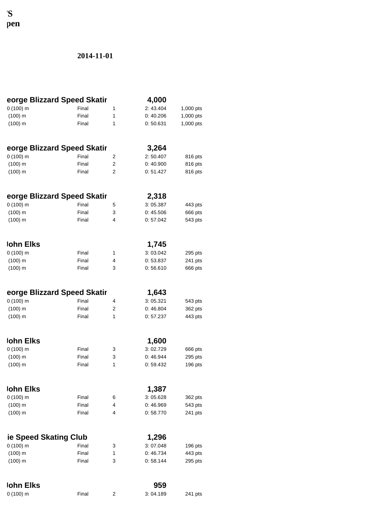**FINAL COMP** pen

| eorge Blizzard Speed Skatir |                |                                  | 4,000                |                    |
|-----------------------------|----------------|----------------------------------|----------------------|--------------------|
| $0(100)$ m                  | Final          | 1                                | 2:43.404             | 1,000 pts          |
| $(100)$ m                   | Final          | 1                                | 0:40.206             | 1,000 pts          |
| $(100)$ m                   | Final          | 1                                | 0:50.631             | 1,000 pts          |
|                             |                |                                  |                      |                    |
| eorge Blizzard Speed Skatir |                |                                  | 3,264                |                    |
| $0(100)$ m                  | Final          | $\overline{c}$                   | 2:50.407             | 816 pts            |
| $(100)$ m<br>$(100)$ m      | Final<br>Final | $\overline{2}$<br>$\overline{c}$ | 0:40.900<br>0:51.427 | 816 pts<br>816 pts |
|                             |                |                                  |                      |                    |
| eorge Blizzard Speed Skatir |                |                                  | 2,318                |                    |
| $0(100)$ m                  | Final          | 5                                | 3:05.387             | 443 pts            |
| $(100)$ m                   | Final          | 3                                | 0:45.506             | 666 pts            |
| $(100)$ m                   | Final          | 4                                | 0:57.042             | 543 pts            |
|                             |                |                                  |                      |                    |
| <b>John Elks</b>            |                |                                  | 1,745                |                    |
| $0(100)$ m                  | Final          | 1                                | 3:03.042             | 295 pts            |
| $(100)$ m                   | Final          | 4                                | 0:53.837             | 241 pts            |
| $(100)$ m                   | Final          | 3                                | 0:56.610             | 666 pts            |
| eorge Blizzard Speed Skatir |                |                                  | 1,643                |                    |
| $0(100)$ m                  | Final          | 4                                | 3:05.321             | 543 pts            |
| $(100)$ m                   | Final          | 2                                | 0:46.804             | 362 pts            |
| $(100)$ m                   | Final          | 1                                | 0:57.237             | 443 pts            |
|                             |                |                                  |                      |                    |
| lohn Elks                   |                |                                  | 1,600                |                    |
| $0(100)$ m                  | Final          | 3                                | 3:02.729             | 666 pts            |
| $(100)$ m                   | Final          | 3                                | 0:46.944             | 295 pts            |
| $(100)$ m                   | Final          | 1                                | 0:59.432             | 196 pts            |
| <b>John Elks</b>            |                |                                  | 1,387                |                    |
| $0(100)$ m                  | Final          | 6                                | 3:05.628             | 362 pts            |
| $(100)$ m                   | Final          | 4                                | 0:46.969             | 543 pts            |
| $(100)$ m                   | Final          | 4                                | 0:58.770             | 241 pts            |
|                             |                |                                  |                      |                    |
| ie Speed Skating Club       |                |                                  | 1,296                |                    |
| $0(100)$ m                  | Final          | 3                                | 3:07.048             | 196 pts            |
| $(100)$ m                   | Final          | 1                                | 0:46.734             | 443 pts            |
| $(100)$ m                   | Final          | 3                                | 0:58.144             | 295 pts            |
| <b>John Elks</b>            |                |                                  | 959                  |                    |
| $0(100)$ m                  | Final          | 2                                | 3:04.189             | 241 pts            |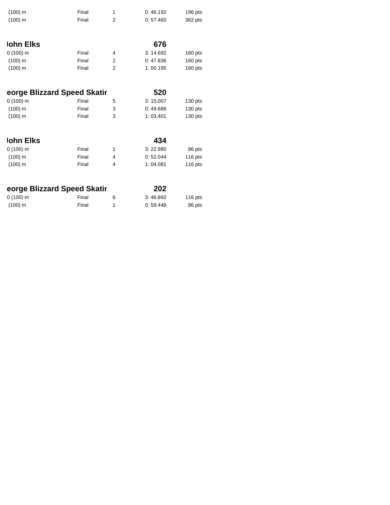| $(100)$ m                   | Final | 1              | 0:46.192 | $196$ pts |
|-----------------------------|-------|----------------|----------|-----------|
| $(100)$ m                   | Final | $\overline{c}$ | 0:57.460 | 362 pts   |
|                             |       |                |          |           |
|                             |       |                |          |           |
| lohn Elks                   |       |                | 676      |           |
| $0(100)$ m                  | Final | 4              | 3:14.692 | $160$ pts |
| $(100)$ m                   | Final | $\overline{2}$ | 0:47.836 | $160$ pts |
| $(100)$ m                   | Final | $\overline{2}$ | 1:00.195 | 160 pts   |
|                             |       |                |          |           |
|                             |       |                |          |           |
| eorge Blizzard Speed Skatir |       |                | 520      |           |
| $0(100)$ m                  | Final | 5              | 3:15.007 | $130$ pts |
| $(100)$ m                   | Final | 3              | 0:49.686 | 130 pts   |
| $(100)$ m                   | Final | 3              | 1:03.401 | $130$ pts |
|                             |       |                |          |           |
| <b>John Elks</b>            |       |                | 434      |           |
| $0(100)$ m                  | Final | $\mathbf{1}$   | 3:22.980 | 86 pts    |
| $(100)$ m                   | Final | 4              | 0:52.044 | 116 pts   |
| $(100)$ m                   | Final | 4              | 1:04.081 | $116$ pts |
|                             |       |                |          |           |
| eorge Blizzard Speed Skatir |       |                | 202      |           |
| $0(100)$ m                  | Final | 6              | 3:46.892 | $116$ pts |
|                             |       |                |          |           |

(100) m Final 1 0: 59.448 86 pts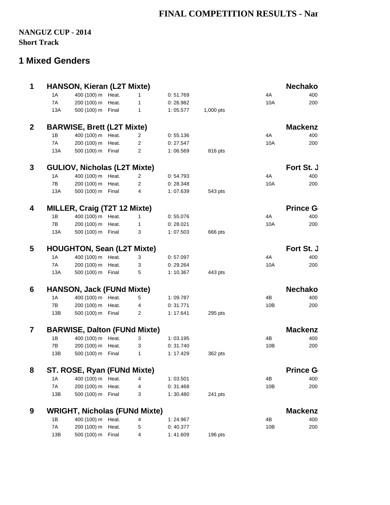## **FINAL COMPETITION RESULTS - Nan**

### **NANGUZ CUP - 2014 Short Track**

### **1 Mixed Genders**

| $\mathbf{1}$            |               | <b>HANSON, Kieran (L2T Mixte)</b>    |                |           |           |     | <b>Nechako</b>  |
|-------------------------|---------------|--------------------------------------|----------------|-----------|-----------|-----|-----------------|
|                         | 1A            | 400 (100) m Heat.                    | $\mathbf{1}$   | 0:51.769  |           | 4A  | 400             |
|                         | 7A            | 200 (100) m Heat.                    | $\mathbf{1}$   | 0:26.982  |           | 10A | 200             |
|                         | 13A           | 500 (100) m Final                    | $\mathbf{1}$   | 1:05.577  | 1,000 pts |     |                 |
| $\overline{2}$          |               | <b>BARWISE, Brett (L2T Mixte)</b>    |                |           |           |     | <b>Mackenz</b>  |
|                         | 1B            | 400 (100) m Heat.                    | $\overline{2}$ | 0:55.136  |           | 4A  | 400             |
|                         | 7A            | 200 (100) m Heat.                    | $\overline{c}$ | 0: 27.547 |           | 10A | 200             |
|                         | 13A           | 500 (100) m Final                    | $\mathbf{2}$   | 1:06.569  | 816 pts   |     |                 |
| 3                       |               | <b>GULIOV, Nicholas (L2T Mixte)</b>  |                |           |           |     | Fort St. J      |
|                         | 1A            | 400 (100) m Heat.                    | $\overline{2}$ | 0:54.793  |           | 4A  | 400             |
|                         | 7B            | 200 (100) m Heat.                    | $\overline{2}$ | 0:28.348  |           | 10A | 200             |
|                         | 13A           | 500 (100) m Final                    | $\overline{4}$ | 1:07.639  | 543 pts   |     |                 |
| 4                       |               | MILLER, Craig (T2T 12 Mixte)         |                |           |           |     | <b>Prince G</b> |
|                         | 1B            | 400 (100) m Heat.                    | $\mathbf{1}$   | 0:55.076  |           | 4A  | 400             |
|                         | 7B            | 200 (100) m Heat.                    | $\mathbf{1}$   | 0:28.021  |           | 10A | 200             |
|                         | 13A           | 500 (100) m Final                    | 3              | 1:07.503  | 666 pts   |     |                 |
|                         |               |                                      |                |           |           |     |                 |
| 5                       |               | <b>HOUGHTON, Sean (L2T Mixte)</b>    |                |           |           |     | Fort St. J      |
|                         | 1A            | 400 (100) m Heat.                    | 3              | 0:57.097  |           | 4A  | 400             |
|                         | 7A            | 200 (100) m Heat.                    | 3              | 0: 29.264 |           | 10A | 200             |
|                         | 13A           | 500 (100) m Final                    | 5              | 1:10.367  | 443 pts   |     |                 |
| 6                       |               | <b>HANSON, Jack (FUNd Mixte)</b>     |                |           |           |     | <b>Nechako</b>  |
|                         | 1A            | 400 (100) m Heat.                    | 5              | 1:09.787  |           | 4B  | 400             |
|                         | 7B            | 200 (100) m Heat.                    | 4              | 0:31.771  |           | 10B | 200             |
|                         | 13B           | 500 (100) m Final                    | $\overline{2}$ | 1:17.641  | $295$ pts |     |                 |
| $\overline{\mathbf{z}}$ |               | <b>BARWISE, Dalton (FUNd Mixte)</b>  |                |           |           |     | <b>Mackenz</b>  |
|                         | 1B            | 400 (100) m Heat.                    | 3              | 1:03.195  |           | 4B  | 400             |
|                         | $7\mathsf{B}$ | 200 (100) m Heat.                    | 3              | 0: 31.740 |           | 10B | 200             |
|                         | 13B           | 500 (100) m Final                    | $\mathbf{1}$   | 1: 17.429 | 362 pts   |     |                 |
| 8                       |               | ST. ROSE, Ryan (FUNd Mixte)          |                |           |           |     | <b>Prince G</b> |
|                         | 1A            | 400 (100) m Heat.                    | 4              | 1:03.501  |           | 4B  | 400             |
|                         | 7A            | 200 (100) m Heat.                    | 4              | 0: 31.468 |           | 10B | 200             |
|                         | 13B           | 500 (100) m Final                    | 3              | 1:30.480  | 241 pts   |     |                 |
| 9                       |               | <b>WRIGHT, Nicholas (FUNd Mixte)</b> |                |           |           |     | <b>Mackenz</b>  |
|                         | 1B            | 400 (100) m Heat.                    | 4              | 1:24.967  |           | 4B  | 400             |
|                         | 7A            | 200 (100) m Heat.                    | 5              | 0:40.377  |           | 10B | 200             |
|                         | 13B           | 500 (100) m Final                    | 4              | 1:41.609  | 196 pts   |     |                 |
|                         |               |                                      |                |           |           |     |                 |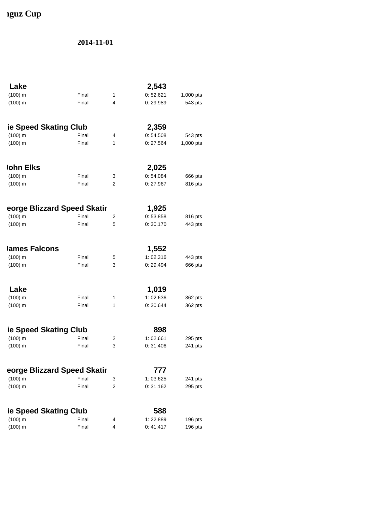# **Iguz Cup**

| Lake                        |       |                | 2,543     |           |
|-----------------------------|-------|----------------|-----------|-----------|
| $(100)$ m                   | Final | 1              | 0:52.621  | 1,000 pts |
| $(100)$ m                   | Final | 4              | 0:29.989  | 543 pts   |
| ie Speed Skating Club       |       |                | 2,359     |           |
| $(100)$ m                   | Final | 4              | 0:54.508  | 543 pts   |
| $(100)$ m                   | Final | $\mathbf{1}$   | 0:27.564  | 1,000 pts |
| <b>John Elks</b>            |       |                | 2,025     |           |
| $(100)$ m                   | Final | 3              | 0:54.084  | 666 pts   |
| $(100)$ m                   | Final | $\overline{2}$ | 0:27.967  | 816 pts   |
| eorge Blizzard Speed Skatir |       |                | 1,925     |           |
| $(100)$ m                   | Final | 2              | 0:53.858  | 816 pts   |
| $(100)$ m                   | Final | 5              | 0:30.170  | 443 pts   |
| lames Falcons               |       |                | 1,552     |           |
| $(100)$ m                   | Final | 5              | 1:02.316  | 443 pts   |
| $(100)$ m                   | Final | 3              | 0: 29.494 | 666 pts   |
| Lake                        |       |                | 1,019     |           |
| $(100)$ m                   | Final | 1              | 1:02.636  | 362 pts   |
| $(100)$ m                   | Final | 1              | 0:30.644  | 362 pts   |
| ie Speed Skating Club       |       |                | 898       |           |
| $(100)$ m                   | Final | 2              | 1:02.661  | 295 pts   |
| $(100)$ m                   | Final | 3              | 0: 31.406 | 241 pts   |
| eorge Blizzard Speed Skatir |       |                | 777       |           |
| $(100)$ m                   | Final | 3              | 1:03.625  | 241 pts   |
| $(100)$ m                   | Final | $\overline{c}$ | 0:31.162  | 295 pts   |
| ie Speed Skating Club       |       |                | 588       |           |
| $(100)$ m                   | Final | 4              | 1:22.889  | 196 pts   |
| $(100)$ m                   | Final | 4              | 0:41.417  | 196 pts   |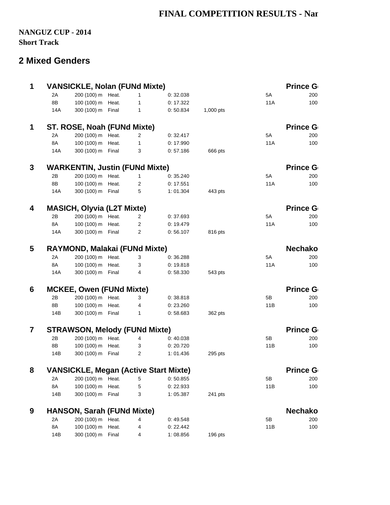## **FINAL COMPETITION RESULTS - Nan**

### **NANGUZ CUP - 2014 Short Track**

### **2 Mixed Genders**

| $\mathbf{1}$            |     | <b>VANSICKLE, Nolan (FUNd Mixte)</b>         |                |           |           |     | <b>Prince G</b> |
|-------------------------|-----|----------------------------------------------|----------------|-----------|-----------|-----|-----------------|
|                         | 2A  | 200 (100) m Heat.                            | $\mathbf{1}$   | 0:32.038  |           | 5A  | 200             |
|                         | 8B  | 100 (100) m Heat.                            | $\mathbf{1}$   | 0:17.322  |           | 11A | 100             |
|                         | 14A | 300 (100) m Final                            | $\mathbf{1}$   | 0:50.834  | 1,000 pts |     |                 |
| $\mathbf{1}$            |     | ST. ROSE, Noah (FUNd Mixte)                  |                |           |           |     | <b>Prince G</b> |
|                         | 2A  | 200 (100) m Heat.                            | $\overline{2}$ | 0:32.417  |           | 5A  | 200             |
|                         | 8A  | 100 (100) m Heat.                            | $\mathbf{1}$   | 0:17.990  |           | 11A | 100             |
|                         | 14A | 300 (100) m Final                            | 3              | 0:57.186  | 666 pts   |     |                 |
| 3                       |     | <b>WARKENTIN, Justin (FUNd Mixte)</b>        |                |           |           |     | <b>Prince G</b> |
|                         | 2B  | 200 (100) m Heat.                            | $\mathbf{1}$   | 0:35.240  |           | 5A  | 200             |
|                         | 8B  | 100 (100) m Heat.                            | $\overline{2}$ | 0:17.551  |           | 11A | 100             |
|                         | 14A | 300 (100) m Final                            | 5              | 1:01.304  | 443 pts   |     |                 |
| $\overline{\mathbf{4}}$ |     | <b>MASICH, Olyvia (L2T Mixte)</b>            |                |           |           |     | <b>Prince G</b> |
|                         | 2B  | 200 (100) m Heat.                            | $\overline{2}$ | 0:37.693  |           | 5A  | 200             |
|                         | 8A  | 100 (100) m Heat.                            | $\overline{2}$ | 0:19.479  |           | 11A | 100             |
|                         | 14A | 300 (100) m Final                            | $\mathbf{2}$   | 0:56.107  | 816 pts   |     |                 |
| 5                       |     | RAYMOND, Malakai (FUNd Mixte)                |                |           |           |     | <b>Nechako</b>  |
|                         | 2A  | 200 (100) m Heat.                            | 3              | 0:36.288  |           | 5A  | 200             |
|                         | 8A  | 100 (100) m Heat.                            | 3              | 0:19.818  |           | 11A | 100             |
|                         | 14A | 300 (100) m Final                            | 4              | 0:58.330  | 543 pts   |     |                 |
| 6                       |     | <b>MCKEE, Owen (FUNd Mixte)</b>              |                |           |           |     | <b>Prince G</b> |
|                         | 2B  | 200 (100) m Heat.                            | 3              | 0:38.818  |           | 5B  | 200             |
|                         | 8B  | 100 (100) m Heat.                            | 4              | 0:23.260  |           | 11B | 100             |
|                         | 14B | 300 (100) m Final                            | $\mathbf{1}$   | 0:58.683  | 362 pts   |     |                 |
| $\overline{7}$          |     | <b>STRAWSON, Melody (FUNd Mixte)</b>         |                |           |           |     | <b>Prince G</b> |
|                         | 2B  | 200 (100) m Heat.                            | $\overline{4}$ | 0:40.038  |           | 5B  | 200             |
|                         | 8B  | 100 (100) m Heat.                            | 3              | 0:20.720  |           | 11B | 100             |
|                         | 14B | 300 (100) m Final                            | $\overline{2}$ | 1:01.436  | 295 pts   |     |                 |
| 8                       |     | <b>VANSICKLE, Megan (Active Start Mixte)</b> |                |           |           |     | <b>Prince G</b> |
|                         | 2A  | 200 (100) m Heat.                            | 5              | 0:50.855  |           | 5В  | 200             |
|                         | 8A  | 100 (100) m Heat.                            | 5              | 0:22.933  |           | 11B | 100             |
|                         | 14B | 300 (100) m Final                            | 3              | 1:05.387  | 241 pts   |     |                 |
| 9                       |     | <b>HANSON, Sarah (FUNd Mixte)</b>            |                |           |           |     | <b>Nechako</b>  |
|                         | 2A  | 200 (100) m Heat.                            | 4              | 0:49.548  |           | 5B  | 200             |
|                         | 8A  | 100 (100) m Heat.                            | 4              | 0: 22.442 |           | 11B | 100             |
|                         | 14B | 300 (100) m Final                            | 4              | 1:08.856  | 196 pts   |     |                 |
|                         |     |                                              |                |           |           |     |                 |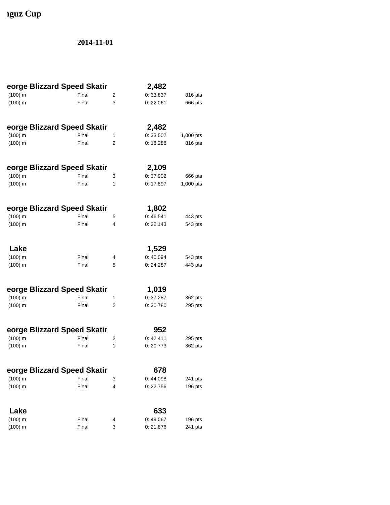# **Iguz Cup**

| eorge Blizzard Speed Skatir |       |                | 2,482     |           |
|-----------------------------|-------|----------------|-----------|-----------|
| $(100)$ m                   | Final | 2              | 0: 33.837 | 816 pts   |
| $(100)$ m                   | Final | 3              | 0:22.061  | 666 pts   |
| eorge Blizzard Speed Skatir |       |                | 2,482     |           |
| $(100)$ m                   | Final | 1              | 0:33.502  | 1,000 pts |
| $(100)$ m                   | Final | 2              | 0:18.288  | 816 pts   |
| eorge Blizzard Speed Skatir |       |                | 2,109     |           |
| $(100)$ m                   | Final | 3              | 0:37.902  | 666 pts   |
| $(100)$ m                   | Final | $\mathbf{1}$   | 0:17.897  | 1,000 pts |
| eorge Blizzard Speed Skatir |       |                | 1,802     |           |
| $(100)$ m                   | Final | 5              | 0:46.541  | 443 pts   |
| $(100)$ m                   | Final | 4              | 0: 22.143 | 543 pts   |
| Lake                        |       |                | 1,529     |           |
| $(100)$ m                   | Final | 4              | 0:40.094  | 543 pts   |
| $(100)$ m                   | Final | 5              | 0: 24.287 | 443 pts   |
| eorge Blizzard Speed Skatir |       |                | 1,019     |           |
| $(100)$ m                   | Final | 1              | 0:37.287  | 362 pts   |
| $(100)$ m                   | Final | $\overline{2}$ | 0:20.780  | 295 pts   |
| eorge Blizzard Speed Skatir |       |                | 952       |           |
| $(100)$ m                   | Final | 2              | 0:42.411  | 295 pts   |
| $(100)$ m                   | Final | 1              | 0:20.773  | 362 pts   |
| eorge Blizzard Speed Skatir |       |                | 678       |           |
| $(100)$ m                   | Final | 3              | 0:44.098  | 241 pts   |
| $(100)$ m                   | Final | 4              | 0:22.756  | 196 pts   |
| Lake                        |       |                | 633       |           |
| $(100)$ m                   | Final | 4              | 0:49.067  | 196 pts   |
| $(100)$ m                   | Final | 3              | 0:21.876  | 241 pts   |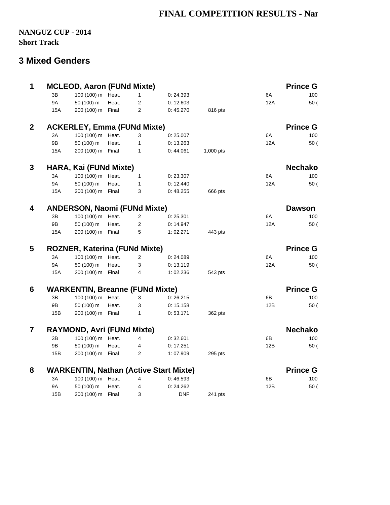## **FINAL COMPETITION RESULTS - Nan**

### **NANGUZ CUP - 2014 Short Track**

## **3 Mixed Genders**

| $\mathbf{1}$   |           | <b>MCLEOD, Aaron (FUNd Mixte)</b>      |       |                |                                               |           |     | Prince G        |
|----------------|-----------|----------------------------------------|-------|----------------|-----------------------------------------------|-----------|-----|-----------------|
|                | 3B        | 100 (100) m Heat.                      |       | $\mathbf{1}$   | 0: 24.393                                     |           | 6A  | 100             |
|                | <b>9A</b> | 50 (100) m                             | Heat. | $\overline{c}$ | 0:12.603                                      |           | 12A | 50(             |
|                | 15A       | 200 (100) m Final                      |       | $\overline{c}$ | 0:45.270                                      | 816 pts   |     |                 |
| $\mathbf{2}$   |           | <b>ACKERLEY, Emma (FUNd Mixte)</b>     |       |                |                                               |           |     | <b>Prince G</b> |
|                | 3A        | 100 (100) m Heat.                      |       | 3              | 0:25.007                                      |           | 6A  | 100             |
|                | 9Β        | 50 (100) m                             | Heat. | $\mathbf 1$    | 0:13.263                                      |           | 12A | 50(             |
|                | 15A       | 200 (100) m Final                      |       | $\mathbf{1}$   | 0:44.061                                      | 1,000 pts |     |                 |
| 3              |           | HARA, Kai (FUNd Mixte)                 |       |                |                                               |           |     | <b>Nechako</b>  |
|                | 3A        | 100 (100) m Heat.                      |       | $\mathbf{1}$   | 0: 23.307                                     |           | 6A  | 100             |
|                | 9A        | 50 (100) m                             | Heat. | $\mathbf{1}$   | 0:12.440                                      |           | 12A | 50(             |
|                | 15A       | 200 (100) m Final                      |       | 3              | 0:48.255                                      | 666 pts   |     |                 |
| 4              |           | <b>ANDERSON, Naomi (FUNd Mixte)</b>    |       |                |                                               |           |     | <b>Dawson</b>   |
|                | 3B        | 100 (100) m Heat.                      |       | $\overline{c}$ | 0:25.301                                      |           | 6A  | 100             |
|                | 9B        | 50 (100) m                             | Heat. | $\overline{c}$ | 0: 14.947                                     |           | 12A | 50(             |
|                | 15A       | 200 (100) m Final                      |       | 5              | 1:02.271                                      | 443 pts   |     |                 |
| 5              |           | <b>ROZNER, Katerina (FUNd Mixte)</b>   |       |                |                                               |           |     | <b>Prince G</b> |
|                | 3A        | 100 (100) m Heat.                      |       | $\overline{c}$ | 0:24.089                                      |           | 6A  | 100             |
|                | 9A        | 50 (100) m                             | Heat. | 3              | 0:13.119                                      |           | 12A | 50(             |
|                | 15A       | 200 (100) m Final                      |       | 4              | 1:02.236                                      | 543 pts   |     |                 |
| 6              |           | <b>WARKENTIN, Breanne (FUNd Mixte)</b> |       |                |                                               |           |     | Prince G        |
|                | 3B        | 100 (100) m Heat.                      |       | 3              | 0:26.215                                      |           | 6B  | 100             |
|                | 9Β        | 50 (100) m                             | Heat. | 3              | 0:15.158                                      |           | 12B | 50(             |
|                | 15B       | 200 (100) m Final                      |       | $\mathbf{1}$   | 0:53.171                                      | 362 pts   |     |                 |
| $\overline{7}$ |           | <b>RAYMOND, Avri (FUNd Mixte)</b>      |       |                |                                               |           |     | <b>Nechako</b>  |
|                | 3B        | 100 (100) m Heat.                      |       | 4              | 0:32.601                                      |           | 6B  | 100             |
|                | 9B        | 50 (100) m                             | Heat. | 4              | 0:17.251                                      |           | 12B | 50(             |
|                | 15B       | 200 (100) m Final                      |       | $\overline{2}$ | 1:07.909                                      | 295 pts   |     |                 |
| 8              |           |                                        |       |                | <b>WARKENTIN, Nathan (Active Start Mixte)</b> |           |     | <b>Prince G</b> |
|                | 3A        | 100 (100) m Heat.                      |       | 4              | 0:46.593                                      |           | 6B  | 100             |
|                | 9A        | 50 (100) m                             | Heat. | 4              | 0:24.262                                      |           | 12B | 50(             |
|                | 15B       | 200 (100) m                            | Final | 3              | <b>DNF</b>                                    | 241 pts   |     |                 |
|                |           |                                        |       |                |                                               |           |     |                 |